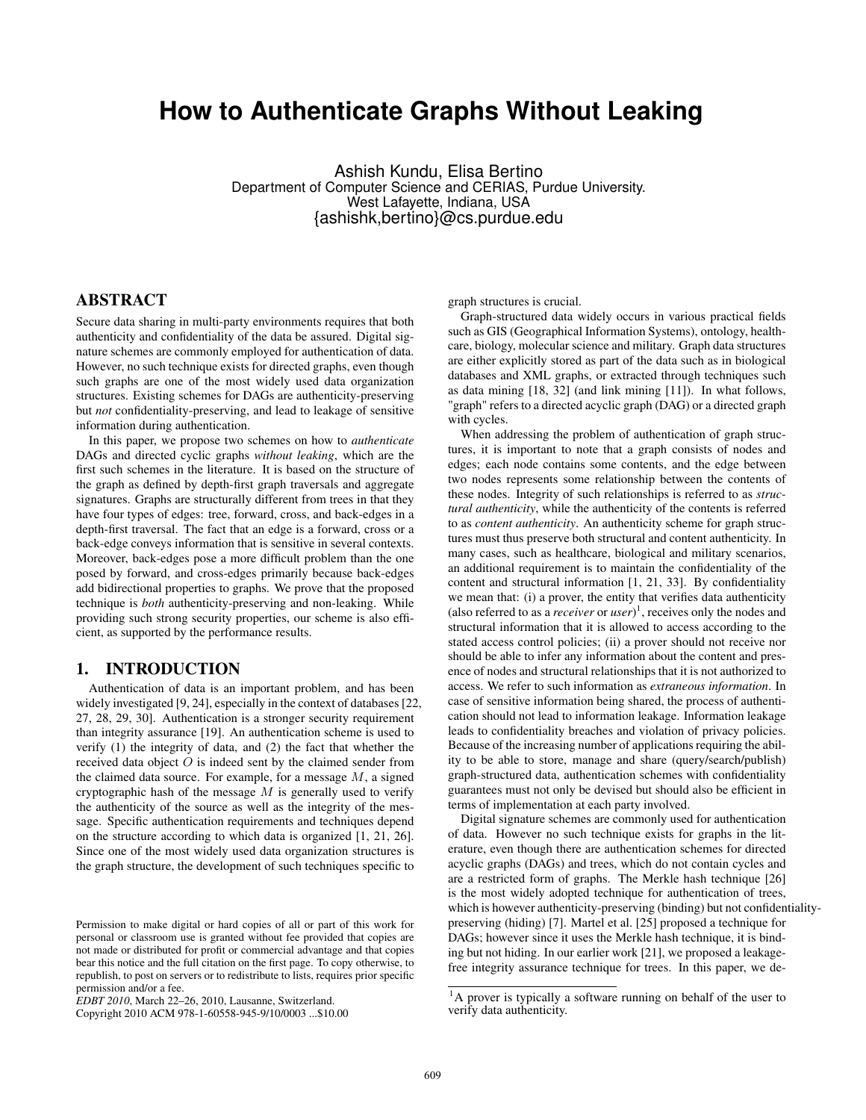# **How to Authenticate Graphs Without Leaking**

Ashish Kundu, Elisa Bertino Department of Computer Science and CERIAS, Purdue University. West Lafayette, Indiana, USA {ashishk,bertino}@cs.purdue.edu

## ABSTRACT

Secure data sharing in multi-party environments requires that both authenticity and confidentiality of the data be assured. Digital signature schemes are commonly employed for authentication of data. However, no such technique exists for directed graphs, even though such graphs are one of the most widely used data organization structures. Existing schemes for DAGs are authenticity-preserving but *not* confidentiality-preserving, and lead to leakage of sensitive information during authentication.

In this paper, we propose two schemes on how to *authenticate* DAGs and directed cyclic graphs *without leaking*, which are the first such schemes in the literature. It is based on the structure of the graph as defined by depth-first graph traversals and aggregate signatures. Graphs are structurally different from trees in that they have four types of edges: tree, forward, cross, and back-edges in a depth-first traversal. The fact that an edge is a forward, cross or a back-edge conveys information that is sensitive in several contexts. Moreover, back-edges pose a more difficult problem than the one posed by forward, and cross-edges primarily because back-edges add bidirectional properties to graphs. We prove that the proposed technique is *both* authenticity-preserving and non-leaking. While providing such strong security properties, our scheme is also efficient, as supported by the performance results.

# 1. INTRODUCTION

Authentication of data is an important problem, and has been widely investigated [9, 24], especially in the context of databases [22, 27, 28, 29, 30]. Authentication is a stronger security requirement than integrity assurance [19]. An authentication scheme is used to verify (1) the integrity of data, and (2) the fact that whether the received data object  $O$  is indeed sent by the claimed sender from the claimed data source. For example, for a message  $M$ , a signed cryptographic hash of the message  $M$  is generally used to verify the authenticity of the source as well as the integrity of the message. Specific authentication requirements and techniques depend on the structure according to which data is organized [1, 21, 26]. Since one of the most widely used data organization structures is the graph structure, the development of such techniques specific to

Copyright 2010 ACM 978-1-60558-945-9/10/0003 ...\$10.00

graph structures is crucial.

Graph-structured data widely occurs in various practical fields such as GIS (Geographical Information Systems), ontology, healthcare, biology, molecular science and military. Graph data structures are either explicitly stored as part of the data such as in biological databases and XML graphs, or extracted through techniques such as data mining [18, 32] (and link mining [11]). In what follows, "graph" refers to a directed acyclic graph (DAG) or a directed graph with cycles.

When addressing the problem of authentication of graph structures, it is important to note that a graph consists of nodes and edges; each node contains some contents, and the edge between two nodes represents some relationship between the contents of these nodes. Integrity of such relationships is referred to as *structural authenticity*, while the authenticity of the contents is referred to as *content authenticity*. An authenticity scheme for graph structures must thus preserve both structural and content authenticity. In many cases, such as healthcare, biological and military scenarios, an additional requirement is to maintain the confidentiality of the content and structural information [1, 21, 33]. By confidentiality we mean that: (i) a prover, the entity that verifies data authenticity (also referred to as a *receiver* or *user*) 1 , receives only the nodes and structural information that it is allowed to access according to the stated access control policies; (ii) a prover should not receive nor should be able to infer any information about the content and presence of nodes and structural relationships that it is not authorized to access. We refer to such information as *extraneous information*. In case of sensitive information being shared, the process of authentication should not lead to information leakage. Information leakage leads to confidentiality breaches and violation of privacy policies. Because of the increasing number of applications requiring the ability to be able to store, manage and share (query/search/publish) graph-structured data, authentication schemes with confidentiality guarantees must not only be devised but should also be efficient in terms of implementation at each party involved.

Digital signature schemes are commonly used for authentication of data. However no such technique exists for graphs in the literature, even though there are authentication schemes for directed acyclic graphs (DAGs) and trees, which do not contain cycles and are a restricted form of graphs. The Merkle hash technique [26] is the most widely adopted technique for authentication of trees, which is however authenticity-preserving (binding) but not confidentialitypreserving (hiding) [7]. Martel et al. [25] proposed a technique for DAGs; however since it uses the Merkle hash technique, it is binding but not hiding. In our earlier work [21], we proposed a leakagefree integrity assurance technique for trees. In this paper, we de-

Permission to make digital or hard copies of all or part of this work for personal or classroom use is granted without fee provided that copies are not made or distributed for profit or commercial advantage and that copies bear this notice and the full citation on the first page. To copy otherwise, to republish, to post on servers or to redistribute to lists, requires prior specific permission and/or a fee.

*EDBT 2010*, March 22–26, 2010, Lausanne, Switzerland.

 $<sup>1</sup>A$  prover is typically a software running on behalf of the user to</sup> verify data authenticity.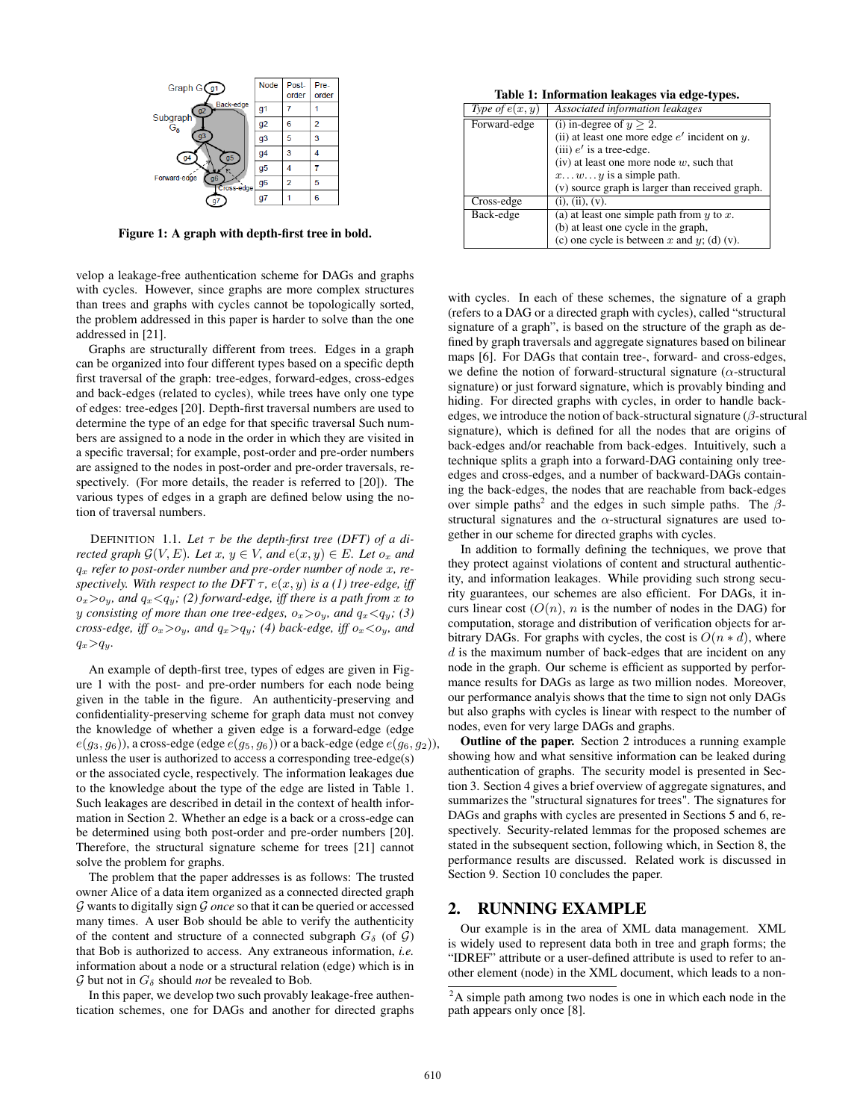

Figure 1: A graph with depth-first tree in bold.

velop a leakage-free authentication scheme for DAGs and graphs with cycles. However, since graphs are more complex structures than trees and graphs with cycles cannot be topologically sorted, the problem addressed in this paper is harder to solve than the one addressed in [21].

Graphs are structurally different from trees. Edges in a graph can be organized into four different types based on a specific depth first traversal of the graph: tree-edges, forward-edges, cross-edges and back-edges (related to cycles), while trees have only one type of edges: tree-edges [20]. Depth-first traversal numbers are used to determine the type of an edge for that specific traversal Such numbers are assigned to a node in the order in which they are visited in a specific traversal; for example, post-order and pre-order numbers are assigned to the nodes in post-order and pre-order traversals, respectively. (For more details, the reader is referred to [20]). The various types of edges in a graph are defined below using the notion of traversal numbers.

DEFINITION 1.1. Let  $\tau$  be the depth-first tree (DFT) of a di*rected graph*  $\mathcal{G}(V, E)$ *. Let*  $x, y \in V$ *, and*  $e(x, y) \in E$ *. Let*  $o_x$  *and* q<sup>x</sup> *refer to post-order number and pre-order number of node* x*, respectively. With respect to the DFT*  $\tau$ ,  $e(x, y)$  *is a (1) tree-edge, iff*  $o_x > o_y$ , and  $q_x < q_y$ ; (2) forward-edge, iff there is a path from x to *y consisting of more than one tree-edges,*  $o_x > o_y$ *, and*  $q_x < q_y$ *;* (3) *cross-edge, iff*  $o_x > o_y$ *, and*  $q_x > q_y$ *; (4) back-edge, iff*  $o_x < o_y$ *, and*  $q_x>q_y$ .

An example of depth-first tree, types of edges are given in Figure 1 with the post- and pre-order numbers for each node being given in the table in the figure. An authenticity-preserving and confidentiality-preserving scheme for graph data must not convey the knowledge of whether a given edge is a forward-edge (edge  $e(g_3, g_6)$ ), a cross-edge (edge  $e(g_5, g_6)$ ) or a back-edge (edge  $e(g_6, g_2)$ ), unless the user is authorized to access a corresponding tree-edge(s) or the associated cycle, respectively. The information leakages due to the knowledge about the type of the edge are listed in Table 1. Such leakages are described in detail in the context of health information in Section 2. Whether an edge is a back or a cross-edge can be determined using both post-order and pre-order numbers [20]. Therefore, the structural signature scheme for trees [21] cannot solve the problem for graphs.

The problem that the paper addresses is as follows: The trusted owner Alice of a data item organized as a connected directed graph G wants to digitally sign G *once* so that it can be queried or accessed many times. A user Bob should be able to verify the authenticity of the content and structure of a connected subgraph  $G_{\delta}$  (of G) that Bob is authorized to access. Any extraneous information, *i.e.* information about a node or a structural relation (edge) which is in  $G$  but not in  $G_{\delta}$  should *not* be revealed to Bob.

In this paper, we develop two such provably leakage-free authentication schemes, one for DAGs and another for directed graphs

Table 1: Information leakages via edge-types.

| Type of $e(x, y)$ | Associated information leakages                    |
|-------------------|----------------------------------------------------|
| Forward-edge      | (i) in-degree of $y > 2$ .                         |
|                   | (ii) at least one more edge $e'$ incident on $y$ . |
|                   | (iii) $e'$ is a tree-edge.                         |
|                   | (iv) at least one more node $w$ , such that        |
|                   | $xwy$ is a simple path.                            |
|                   | (v) source graph is larger than received graph.    |
| Cross-edge        | (i), (ii), (v).                                    |
| Back-edge         | (a) at least one simple path from $y$ to $x$ .     |
|                   | (b) at least one cycle in the graph,               |
|                   | (c) one cycle is between x and y; (d) (v).         |

with cycles. In each of these schemes, the signature of a graph (refers to a DAG or a directed graph with cycles), called "structural signature of a graph", is based on the structure of the graph as defined by graph traversals and aggregate signatures based on bilinear maps [6]. For DAGs that contain tree-, forward- and cross-edges, we define the notion of forward-structural signature ( $\alpha$ -structural signature) or just forward signature, which is provably binding and hiding. For directed graphs with cycles, in order to handle backedges, we introduce the notion of back-structural signature  $(\beta$ -structural signature), which is defined for all the nodes that are origins of back-edges and/or reachable from back-edges. Intuitively, such a technique splits a graph into a forward-DAG containing only treeedges and cross-edges, and a number of backward-DAGs containing the back-edges, the nodes that are reachable from back-edges over simple paths<sup>2</sup> and the edges in such simple paths. The  $\beta$ structural signatures and the  $\alpha$ -structural signatures are used together in our scheme for directed graphs with cycles.

In addition to formally defining the techniques, we prove that they protect against violations of content and structural authenticity, and information leakages. While providing such strong security guarantees, our schemes are also efficient. For DAGs, it incurs linear cost  $(O(n), n$  is the number of nodes in the DAG) for computation, storage and distribution of verification objects for arbitrary DAGs. For graphs with cycles, the cost is  $O(n * d)$ , where  $d$  is the maximum number of back-edges that are incident on any node in the graph. Our scheme is efficient as supported by performance results for DAGs as large as two million nodes. Moreover, our performance analyis shows that the time to sign not only DAGs but also graphs with cycles is linear with respect to the number of nodes, even for very large DAGs and graphs.

Outline of the paper. Section 2 introduces a running example showing how and what sensitive information can be leaked during authentication of graphs. The security model is presented in Section 3. Section 4 gives a brief overview of aggregate signatures, and summarizes the "structural signatures for trees". The signatures for DAGs and graphs with cycles are presented in Sections 5 and 6, respectively. Security-related lemmas for the proposed schemes are stated in the subsequent section, following which, in Section 8, the performance results are discussed. Related work is discussed in Section 9. Section 10 concludes the paper.

# 2. RUNNING EXAMPLE

Our example is in the area of XML data management. XML is widely used to represent data both in tree and graph forms; the "IDREF" attribute or a user-defined attribute is used to refer to another element (node) in the XML document, which leads to a non-

<sup>&</sup>lt;sup>2</sup>A simple path among two nodes is one in which each node in the path appears only once [8].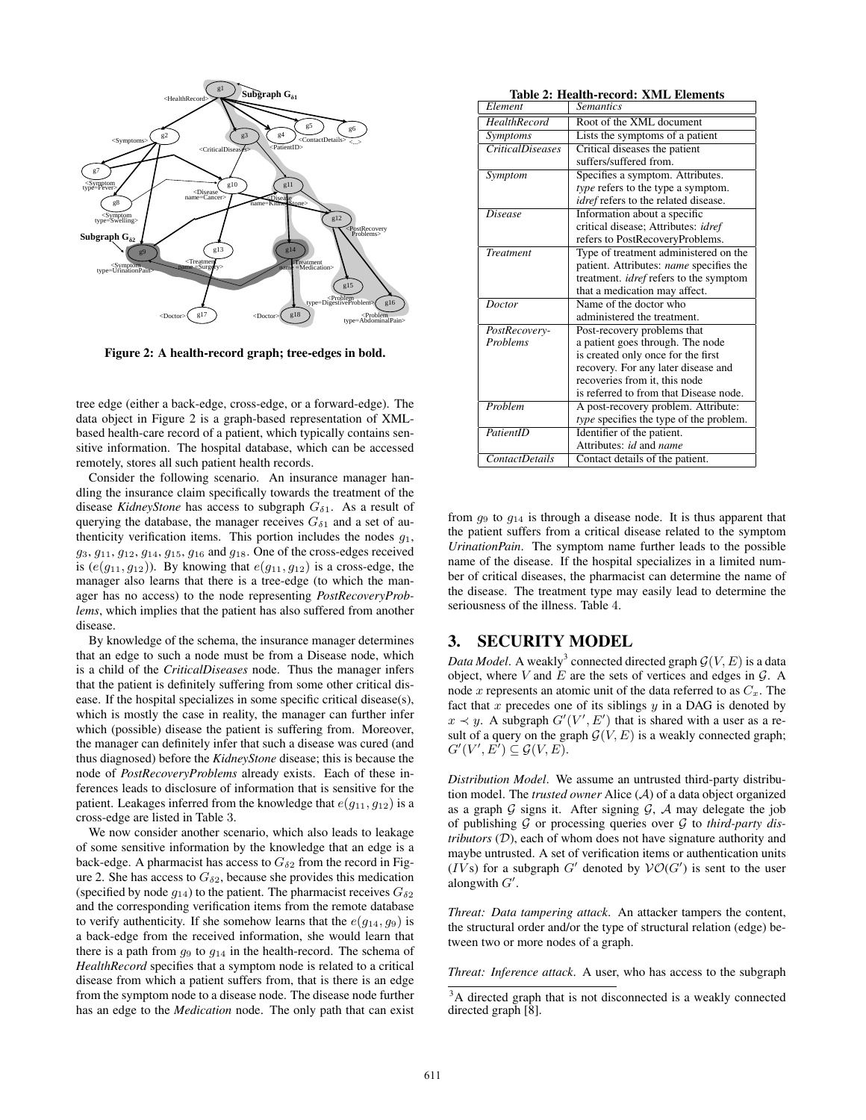

Figure 2: A health-record graph; tree-edges in bold.

tree edge (either a back-edge, cross-edge, or a forward-edge). The data object in Figure 2 is a graph-based representation of XMLbased health-care record of a patient, which typically contains sensitive information. The hospital database, which can be accessed remotely, stores all such patient health records.

Consider the following scenario. An insurance manager handling the insurance claim specifically towards the treatment of the disease *KidneyStone* has access to subgraph  $G_{\delta 1}$ . As a result of querying the database, the manager receives  $G_{\delta 1}$  and a set of authenticity verification items. This portion includes the nodes  $g_1$ ,  $g_3, g_{11}, g_{12}, g_{14}, g_{15}, g_{16}$  and  $g_{18}$ . One of the cross-edges received is  $(e(g_{11}, g_{12}))$ . By knowing that  $e(g_{11}, g_{12})$  is a cross-edge, the manager also learns that there is a tree-edge (to which the manager has no access) to the node representing *PostRecoveryProblems*, which implies that the patient has also suffered from another disease.

By knowledge of the schema, the insurance manager determines that an edge to such a node must be from a Disease node, which is a child of the *CriticalDiseases* node. Thus the manager infers that the patient is definitely suffering from some other critical disease. If the hospital specializes in some specific critical disease(s), which is mostly the case in reality, the manager can further infer which (possible) disease the patient is suffering from. Moreover, the manager can definitely infer that such a disease was cured (and thus diagnosed) before the *KidneyStone* disease; this is because the node of *PostRecoveryProblems* already exists. Each of these inferences leads to disclosure of information that is sensitive for the patient. Leakages inferred from the knowledge that  $e(q_{11}, q_{12})$  is a cross-edge are listed in Table 3.

We now consider another scenario, which also leads to leakage of some sensitive information by the knowledge that an edge is a back-edge. A pharmacist has access to  $G_{\delta 2}$  from the record in Figure 2. She has access to  $G_{\delta 2}$ , because she provides this medication (specified by node  $q_{14}$ ) to the patient. The pharmacist receives  $G_{\delta 2}$ and the corresponding verification items from the remote database to verify authenticity. If she somehow learns that the  $e(q_{14}, q_9)$  is a back-edge from the received information, she would learn that there is a path from  $q_9$  to  $q_{14}$  in the health-record. The schema of *HealthRecord* specifies that a symptom node is related to a critical disease from which a patient suffers from, that is there is an edge from the symptom node to a disease node. The disease node further has an edge to the *Medication* node. The only path that can exist

Table 2: Health-record: XML Elements

| Table 2: Health-record: XML Elements |                                               |  |
|--------------------------------------|-----------------------------------------------|--|
| Element                              | <b>Semantics</b>                              |  |
| <b>HealthRecord</b>                  | Root of the XML document                      |  |
| Symptoms                             | Lists the symptoms of a patient               |  |
| <b>CriticalDiseases</b>              | Critical diseases the patient                 |  |
|                                      | suffers/suffered from.                        |  |
| Symptom                              | Specifies a symptom. Attributes.              |  |
|                                      | type refers to the type a symptom.            |  |
|                                      | idref refers to the related disease.          |  |
| $\overline{D}$ isease                | Information about a specific                  |  |
|                                      | critical disease; Attributes: idref           |  |
|                                      | refers to PostRecoveryProblems.               |  |
| <b>Treatment</b>                     | Type of treatment administered on the         |  |
|                                      | patient. Attributes: name specifies the       |  |
|                                      | treatment. <i>idref</i> refers to the symptom |  |
|                                      | that a medication may affect.                 |  |
| Doctor                               | Name of the doctor who                        |  |
|                                      | administered the treatment.                   |  |
| PostRecovery-                        | Post-recovery problems that                   |  |
| <b>Problems</b>                      | a patient goes through. The node              |  |
|                                      | is created only once for the first            |  |
|                                      | recovery. For any later disease and           |  |
|                                      | recoveries from it, this node                 |  |
|                                      | is referred to from that Disease node.        |  |
| Problem                              | A post-recovery problem. Attribute:           |  |
|                                      | type specifies the type of the problem.       |  |
| PatientID                            | Identifier of the patient.                    |  |
|                                      | Attributes: id and name                       |  |
| <b>ContactDetails</b>                | Contact details of the patient.               |  |

from  $g_9$  to  $g_{14}$  is through a disease node. It is thus apparent that the patient suffers from a critical disease related to the symptom *UrinationPain*. The symptom name further leads to the possible name of the disease. If the hospital specializes in a limited number of critical diseases, the pharmacist can determine the name of the disease. The treatment type may easily lead to determine the seriousness of the illness. Table 4.

## 3. SECURITY MODEL

*Data Model*. A weakly<sup>3</sup> connected directed graph  $\mathcal{G}(V, E)$  is a data object, where  $V$  and  $E$  are the sets of vertices and edges in  $G$ . A node  $x$  represents an atomic unit of the data referred to as  $C_x$ . The fact that x precedes one of its siblings  $y$  in a DAG is denoted by  $x \prec y$ . A subgraph  $G'(V', E')$  that is shared with a user as a result of a query on the graph  $\mathcal{G}(V, E)$  is a weakly connected graph;  $G'(V', E') \subseteq \mathcal{G}(V, E).$ 

*Distribution Model*. We assume an untrusted third-party distribution model. The *trusted owner* Alice (A) of a data object organized as a graph  $G$  signs it. After signing  $G$ ,  $A$  may delegate the job of publishing G or processing queries over G to *third-party distributors* (D), each of whom does not have signature authority and maybe untrusted. A set of verification items or authentication units  $(IVs)$  for a subgraph G' denoted by  $VO(G')$  is sent to the user alongwith  $G'$ .

*Threat: Data tampering attack*. An attacker tampers the content, the structural order and/or the type of structural relation (edge) between two or more nodes of a graph.

*Threat: Inference attack*. A user, who has access to the subgraph

<sup>&</sup>lt;sup>3</sup>A directed graph that is not disconnected is a weakly connected directed graph [8].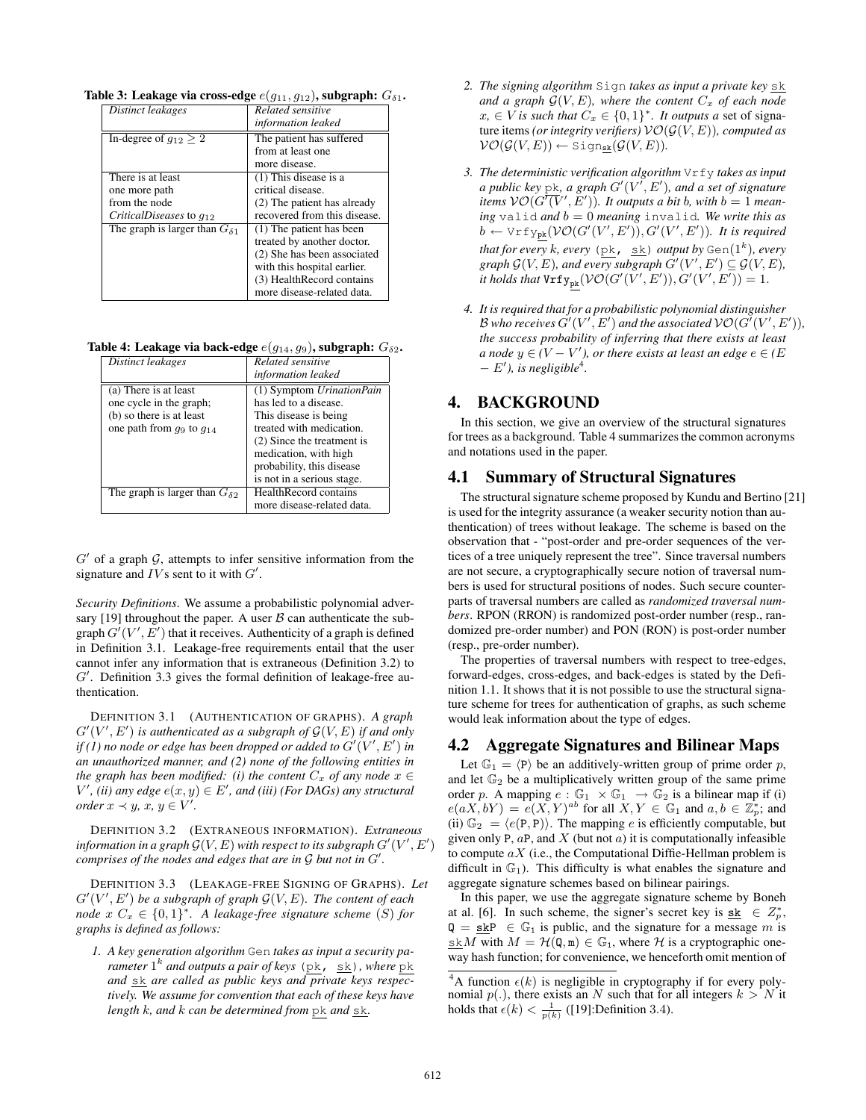Table 3: Leakage via cross-edge  $e(q_{11}, q_{12})$ , subgraph:  $G_{\delta 1}$ .

| Distinct leakages                       | Related sensitive            |
|-----------------------------------------|------------------------------|
|                                         | information leaked           |
| In-degree of $g_{12} \geq 2$            | The patient has suffered     |
|                                         | from at least one            |
|                                         | more disease.                |
| There is at least                       | $(1)$ This disease is a      |
| one more path                           | critical disease.            |
| from the node                           | (2) The patient has already  |
| CriticalDiseases to $g_{12}$            | recovered from this disease. |
| The graph is larger than $G_{\delta 1}$ | (1) The patient has been     |
|                                         | treated by another doctor.   |
|                                         | (2) She has been associated  |
|                                         | with this hospital earlier.  |
|                                         | (3) HealthRecord contains    |
|                                         | more disease-related data.   |

Table 4: Leakage via back-edge  $e(g_{14}, g_9)$ , subgraph:  $G_{\delta 2}$ .

| Distinct leakages                       | <b>Related</b> sensitive     |
|-----------------------------------------|------------------------------|
|                                         | information leaked           |
| (a) There is at least                   | (1) Symptom UrinationPain    |
| one cycle in the graph;                 | has led to a disease.        |
| (b) so there is at least                | This disease is being        |
| one path from $q_9$ to $q_{14}$         | treated with medication.     |
|                                         | (2) Since the treatment is   |
|                                         | medication, with high        |
|                                         | probability, this disease    |
|                                         | is not in a serious stage.   |
| The graph is larger than $G_{\delta 2}$ | <b>HealthRecord contains</b> |
|                                         | more disease-related data.   |

 $G'$  of a graph  $G$ , attempts to infer sensitive information from the signature and  $IVs$  sent to it with  $G'$ .

*Security Definitions*. We assume a probabilistic polynomial adversary [19] throughout the paper. A user  $\beta$  can authenticate the subgraph  $G'(V', E')$  that it receives. Authenticity of a graph is defined in Definition 3.1. Leakage-free requirements entail that the user cannot infer any information that is extraneous (Definition 3.2) to G'. Definition 3.3 gives the formal definition of leakage-free authentication.

DEFINITION 3.1 (AUTHENTICATION OF GRAPHS). *A graph*  $G'(V', E')$  is authenticated as a subgraph of  $\mathcal{G}(V, E)$  if and only *if* (1) no node or edge has been dropped or added to  $G'(V', E')$  in *an unauthorized manner, and (2) none of the following entities in the graph has been modified: (i) the content*  $C_x$  *of any node*  $x \in$  $V'$ , (ii) any edge  $e(x, y) \in E'$ , and (iii) (For DAGs) any structural *order*  $x \prec y$ ,  $x, y \in V'$ .

DEFINITION 3.2 (EXTRANEOUS INFORMATION). *Extraneous* information in a graph  $\mathcal{G}(V, E)$  with respect to its subgraph  $G'(V', E')$ *comprises of the nodes and edges that are in*  $G$  *but not in*  $G'$ *.* 

DEFINITION 3.3 (LEAKAGE-FREE SIGNING OF GRAPHS). *Let*  $G'(V', E')$  be a subgraph of graph  $\mathcal{G}(V, E)$ . The content of each  $node \ x \ C_x \in \{0,1\}^*$ . A leakage-free signature scheme (S) for *graphs is defined as follows:*

*1. A key generation algorithm* Gen *takes as input a security parameter* 1 k *and outputs a pair of keys* (pk, sk)*, where* pk and  $\underline{s}\underline{k}$  are called as public keys and private keys respec*tively. We assume for convention that each of these keys have length k, and k can be determined from* pk *and* sk.

- *2. The signing algorithm* Sign *takes as input a private key* sk *and a graph*  $\mathcal{G}(V, E)$ *, where the content*  $C_x$  *of each node*  $x, \in V$  *is such that*  $C_x \in \{0,1\}^*$ . It outputs a set of signature items *(or integrity verifiers)*  $\mathcal{VO}(\mathcal{G}(V,E))$ *, computed as*  $\mathcal{VO}(\mathcal{G}(V,E)) \leftarrow$  Sign<sub>sk</sub> $(\mathcal{G}(V,E)).$
- *3. The deterministic verification algorithm* Vrfy *takes as input a public key* pk, *a graph*  $G'(V', E')$ , *and a set of signature items*  $\mathcal{VO}(G^{\overline{\prime}}(\overline{V}', \overline{E}'))$ *. It outputs a bit b, with*  $b = 1$  *meaning* valid *and* b = 0 *meaning* invalid*. We write this as*  $b \leftarrow \forall$ rfy<sub>pk</sub>( $\mathcal{VO}(G'(V', E')), G'(V', E')).$  It is required *that for every k, every* (pk, <u>sk</u>) *output by* Gen( $1^k$ ), *every*  $graph G(V, E)$ *, and every subgraph*  $G'(V', E') \subseteq G(V, E)$ *, it holds that*  $\text{Vrfy}_{\text{pk}}(\mathcal{VO}(G'(V', E')), G'(V', E')) = 1.$
- *4. It is required that for a probabilistic polynomial distinguisher* B who receives  $G'(V', E')$  and the associated  $\mathcal{VO}(G'(V', E')),$ *the success probability of inferring that there exists at least a* node  $y \in (V - V')$ , or there exists at least an edge  $e \in (E)$  $- E'$ ), is negligible<sup>4</sup>.

### 4. BACKGROUND

In this section, we give an overview of the structural signatures for trees as a background. Table 4 summarizes the common acronyms and notations used in the paper.

#### 4.1 Summary of Structural Signatures

The structural signature scheme proposed by Kundu and Bertino [21] is used for the integrity assurance (a weaker security notion than authentication) of trees without leakage. The scheme is based on the observation that - "post-order and pre-order sequences of the vertices of a tree uniquely represent the tree". Since traversal numbers are not secure, a cryptographically secure notion of traversal numbers is used for structural positions of nodes. Such secure counterparts of traversal numbers are called as *randomized traversal numbers*. RPON (RRON) is randomized post-order number (resp., randomized pre-order number) and PON (RON) is post-order number (resp., pre-order number).

The properties of traversal numbers with respect to tree-edges, forward-edges, cross-edges, and back-edges is stated by the Definition 1.1. It shows that it is not possible to use the structural signature scheme for trees for authentication of graphs, as such scheme would leak information about the type of edges.

#### 4.2 Aggregate Signatures and Bilinear Maps

Let  $\mathbb{G}_1 = \langle P \rangle$  be an additively-written group of prime order p, and let  $\mathbb{G}_2$  be a multiplicatively written group of the same prime order p. A mapping  $e : \mathbb{G}_1 \times \mathbb{G}_1 \to \mathbb{G}_2$  is a bilinear map if (i)  $e(aX, bY) = e(X, Y)^{ab}$  for all  $X, Y \in \mathbb{G}_1$  and  $a, b \in \mathbb{Z}_p^*$ ; and (ii)  $\mathbb{G}_2 = \langle e(\mathsf{P}, \mathsf{P}) \rangle$ . The mapping e is efficiently computable, but given only P,  $a$ P, and X (but not  $a$ ) it is computationally infeasible to compute  $aX$  (i.e., the Computational Diffie-Hellman problem is difficult in  $\mathbb{G}_1$ ). This difficulty is what enables the signature and aggregate signature schemes based on bilinear pairings.

In this paper, we use the aggregate signature scheme by Boneh at al. [6]. In such scheme, the signer's secret key is  $\underline{\text{sk}} \in Z_p^*$ ,  $Q = s k P \in \mathbb{G}_1$  is public, and the signature for a message m is skM with  $M = \mathcal{H}(\mathbf{Q}, \mathbf{m}) \in \mathbb{G}_1$ , where H is a cryptographic oneway hash function; for convenience, we henceforth omit mention of

<sup>&</sup>lt;sup>4</sup>A function  $\epsilon(k)$  is negligible in cryptography if for every polynomial  $p(.)$ , there exists an N such that for all integers  $k > N$  it holds that  $\epsilon(k) < \frac{1}{p(k)}$  ([19]:Definition 3.4).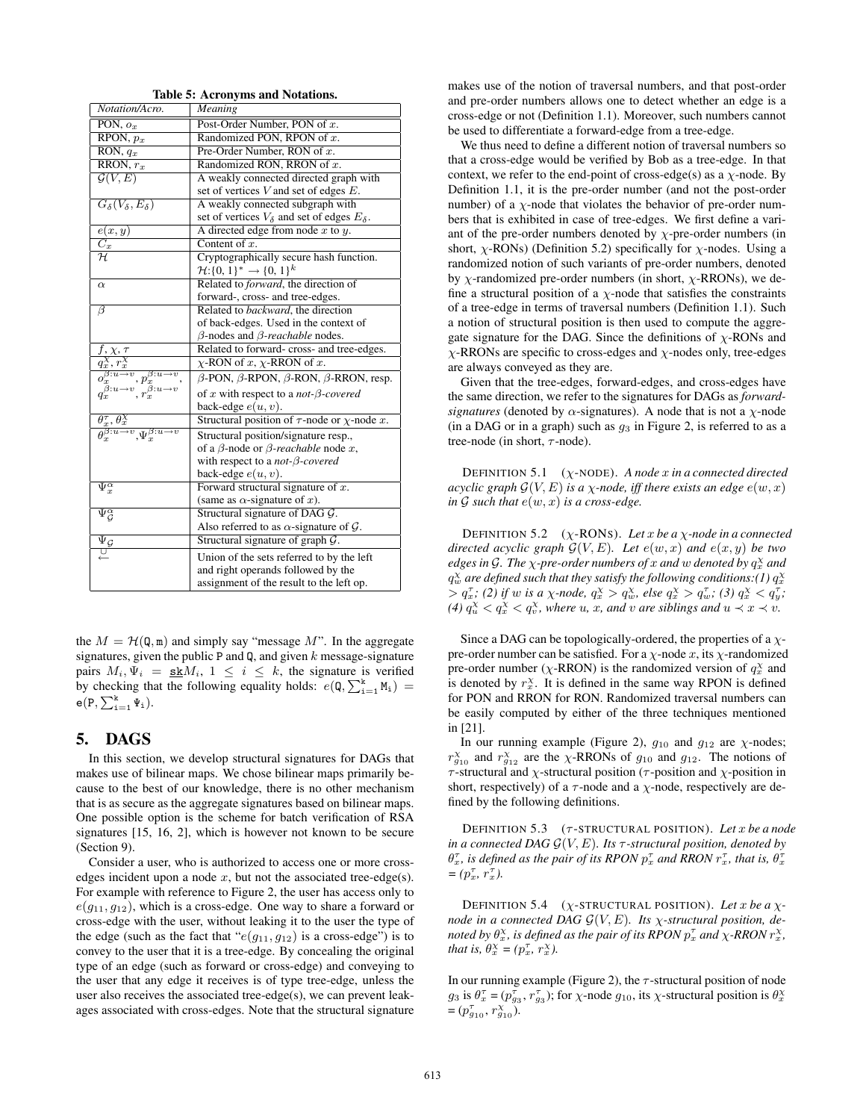| Notation/Acro.                                                                                                                                                    | Meaning                                                         |
|-------------------------------------------------------------------------------------------------------------------------------------------------------------------|-----------------------------------------------------------------|
| PON, $o_x$                                                                                                                                                        | Post-Order Number, PON of x.                                    |
| RPON, $p_x$                                                                                                                                                       | Randomized PON, RPON of x.                                      |
| RON, $q_x$                                                                                                                                                        | Pre-Order Number, RON of x.                                     |
| RRON, $r_x$                                                                                                                                                       | Randomized RON, RRON of $x$ .                                   |
| $\mathcal{G}(V,E)$                                                                                                                                                | A weakly connected directed graph with                          |
|                                                                                                                                                                   | set of vertices $V$ and set of edges $E$ .                      |
| $G_{\delta}(V_{\delta},E_{\delta})$                                                                                                                               | A weakly connected subgraph with                                |
|                                                                                                                                                                   | set of vertices $V_{\delta}$ and set of edges $E_{\delta}$ .    |
| e(x,y)                                                                                                                                                            | A directed edge from node $x$ to $y$ .                          |
| $\overline{C_x}$                                                                                                                                                  | Content of $x$ .                                                |
| $\mathcal{H}$                                                                                                                                                     | Cryptographically secure hash function.                         |
|                                                                                                                                                                   | $\mathcal{H}: \{0, 1\}^* \to \{0, 1\}^k$                        |
| $\alpha$                                                                                                                                                          | Related to <i>forward</i> , the direction of                    |
|                                                                                                                                                                   | forward-, cross- and tree-edges.                                |
| $\overline{\beta}$                                                                                                                                                | Related to backward, the direction                              |
|                                                                                                                                                                   | of back-edges. Used in the context of                           |
|                                                                                                                                                                   | $\beta$ -nodes and $\beta$ -reachable nodes.                    |
| $f, \chi, \tau$                                                                                                                                                   | Related to forward-cross- and tree-edges.                       |
|                                                                                                                                                                   | $\chi$ -RON of x, $\chi$ -RRON of x.                            |
| $q_x^{\gamma}$ , $r_x^{\gamma}$<br>$o_x^{\beta:u \rightarrow v}$ , $p_x^{\beta:u \rightarrow v}$<br>$q_x^{\beta:u \rightarrow v}$ , $r_x^{\beta:u \rightarrow v}$ | $\beta$ -PON, $\beta$ -RPON, $\beta$ -RON, $\beta$ -RRON, resp. |
|                                                                                                                                                                   | of x with respect to a <i>not-<math>\beta</math>-covered</i>    |
|                                                                                                                                                                   | back-edge $e(u, v)$ .                                           |
| $\frac{\theta_x^{\tau}, \theta_x^{\chi}}{\theta_x^{\beta: u \to v}, \Psi_x^{\beta: u \to v}}$                                                                     | Structural position of $\tau$ -node or $\chi$ -node x.          |
|                                                                                                                                                                   | Structural position/signature resp.,                            |
|                                                                                                                                                                   | of a $\beta$ -node or $\beta$ -reachable node x,                |
|                                                                                                                                                                   | with respect to a not- $\beta$ -covered                         |
|                                                                                                                                                                   | back-edge $e(u, v)$ .                                           |
| $\Psi_x^{\alpha}$                                                                                                                                                 | Forward structural signature of $x$ .                           |
|                                                                                                                                                                   | (same as $\alpha$ -signature of x).                             |
| $\Psi_{\mathcal{G}}^{\alpha}$                                                                                                                                     | Structural signature of DAG G.                                  |
|                                                                                                                                                                   | Also referred to as $\alpha$ -signature of $\mathcal{G}$ .      |
| $\overline{\Psi}_{\mathcal{G}}$                                                                                                                                   | Structural signature of graph $G$ .                             |
| $\overline{\cup}$                                                                                                                                                 | Union of the sets referred to by the left                       |
|                                                                                                                                                                   | and right operands followed by the                              |
|                                                                                                                                                                   | assignment of the result to the left op.                        |

Table 5: Acronyms and Notations.

the  $M = H(\mathbb{Q}, \mathbb{m})$  and simply say "message M". In the aggregate signatures, given the public P and Q, and given  $k$  message-signature pairs  $M_i$ ,  $\Psi_i = \underline{\textbf{sk}}M_i$ ,  $1 \leq i \leq k$ , the signature is verified by checking that the following equality holds:  $e(\mathbf{Q}, \sum_{i=1}^{k} M_i) =$  $e(P, \sum_{i=1}^k \Psi_i).$ 

## 5. DAGS

In this section, we develop structural signatures for DAGs that makes use of bilinear maps. We chose bilinear maps primarily because to the best of our knowledge, there is no other mechanism that is as secure as the aggregate signatures based on bilinear maps. One possible option is the scheme for batch verification of RSA signatures [15, 16, 2], which is however not known to be secure (Section 9).

Consider a user, who is authorized to access one or more crossedges incident upon a node  $x$ , but not the associated tree-edge(s). For example with reference to Figure 2, the user has access only to  $e(q_{11}, q_{12})$ , which is a cross-edge. One way to share a forward or cross-edge with the user, without leaking it to the user the type of the edge (such as the fact that " $e(q_{11}, q_{12})$  is a cross-edge") is to convey to the user that it is a tree-edge. By concealing the original type of an edge (such as forward or cross-edge) and conveying to the user that any edge it receives is of type tree-edge, unless the user also receives the associated tree-edge(s), we can prevent leakages associated with cross-edges. Note that the structural signature makes use of the notion of traversal numbers, and that post-order and pre-order numbers allows one to detect whether an edge is a cross-edge or not (Definition 1.1). Moreover, such numbers cannot be used to differentiate a forward-edge from a tree-edge.

We thus need to define a different notion of traversal numbers so that a cross-edge would be verified by Bob as a tree-edge. In that context, we refer to the end-point of cross-edge(s) as a  $\chi$ -node. By Definition 1.1, it is the pre-order number (and not the post-order number) of a  $\chi$ -node that violates the behavior of pre-order numbers that is exhibited in case of tree-edges. We first define a variant of the pre-order numbers denoted by  $\chi$ -pre-order numbers (in short,  $\chi$ -RONs) (Definition 5.2) specifically for  $\chi$ -nodes. Using a randomized notion of such variants of pre-order numbers, denoted by  $\chi$ -randomized pre-order numbers (in short,  $\chi$ -RRONs), we define a structural position of a  $\chi$ -node that satisfies the constraints of a tree-edge in terms of traversal numbers (Definition 1.1). Such a notion of structural position is then used to compute the aggregate signature for the DAG. Since the definitions of  $\chi$ -RONs and  $\chi$ -RRONs are specific to cross-edges and  $\chi$ -nodes only, tree-edges are always conveyed as they are.

Given that the tree-edges, forward-edges, and cross-edges have the same direction, we refer to the signatures for DAGs as *forwardsignatures* (denoted by  $\alpha$ -signatures). A node that is not a  $\chi$ -node (in a DAG or in a graph) such as  $g_3$  in Figure 2, is referred to as a tree-node (in short,  $\tau$ -node).

DEFINITION 5.1 (χ-NODE). *A node* x *in a connected directed acyclic graph*  $\mathcal{G}(V, E)$  *is a*  $\chi$ *-node, iff there exists an edge*  $e(w, x)$ *in*  $G$  *such that*  $e(w, x)$  *is a cross-edge.* 

DEFINITION 5.2 (χ-RONS). *Let* x *be a* χ*-node in a connected directed acyclic graph*  $\mathcal{G}(V, E)$ *. Let*  $e(w, x)$  *and*  $e(x, y)$  *be two* edges in G. The  $\chi$ -pre-order numbers of x and w denoted by  $q_x^{\chi}$  and  $q_w^{\chi}$  are defined such that they satisfy the following conditions:(1)  $q_x^{\chi}$  $> q_x^{\tau}$ ; (2) if w is a x-node,  $q_x^{\chi} > q_w^{\chi}$ , else  $q_x^{\chi} > q_w^{\tau}$ ; (3)  $q_x^{\chi} < q_y^{\tau}$ ; *(4)*  $q_u^{\chi} < q_x^{\chi} < q_v^{\chi}$ , where u, x, and v are siblings and  $u \prec x \prec v$ .

Since a DAG can be topologically-ordered, the properties of a  $\chi$ pre-order number can be satisfied. For a  $\chi$ -node x, its  $\chi$ -randomized pre-order number ( $\chi$ -RRON) is the randomized version of  $q_x^{\chi}$  and is denoted by  $r_x^{\chi}$ . It is defined in the same way RPON is defined for PON and RRON for RON. Randomized traversal numbers can be easily computed by either of the three techniques mentioned in [21].

In our running example (Figure 2),  $g_{10}$  and  $g_{12}$  are  $\chi$ -nodes;  $r_{g_{10}}^{\chi}$  and  $r_{g_{12}}^{\chi}$  are the  $\chi$ -RRONs of  $g_{10}$  and  $g_{12}$ . The notions of τ -structural and χ-structural position (τ -position and χ-position in short, respectively) of a  $\tau$ -node and a  $\chi$ -node, respectively are defined by the following definitions.

DEFINITION 5.3 (τ -STRUCTURAL POSITION). *Let* x *be a node in a connected DAG*  $\mathcal{G}(V, E)$ *. Its*  $\tau$ -structural position, denoted by  $\theta_x^{\tau}$ *, is defined as the pair of its RPON*  $p_x^{\tau}$  *and RRON*  $r_x^{\tau}$ *, that is,*  $\theta_x^{\tau}$  $=(p_x^{\tau}, r_x^{\tau}).$ 

DEFINITION 5.4  $(\chi$ -STRUCTURAL POSITION). Let x be a  $\chi$ *node in a connected DAG*  $\mathcal{G}(V, E)$ *. Its*  $\chi$ -structural position, de*noted by*  $\theta_x^{\chi}$ *, is defined as the pair of its RPON*  $p_x^{\tau}$  *and*  $\chi$ *-RRON*  $r_x^{\chi}$ *, that is,*  $\theta_x^{\chi} = (p_x^{\tau}, r_x^{\chi})$ *.* 

In our running example (Figure 2), the  $\tau$ -structural position of node  $g_3$  is  $\theta_x^{\tau} = (p_{g_3}^{\tau}, r_{g_3}^{\tau})$ ; for  $\chi$ -node  $g_{10}$ , its  $\chi$ -structural position is  $\theta_x^{\chi}$  $=(p_{g_{10}}^{\tau}, r_{g_{10}}^{\chi})$ .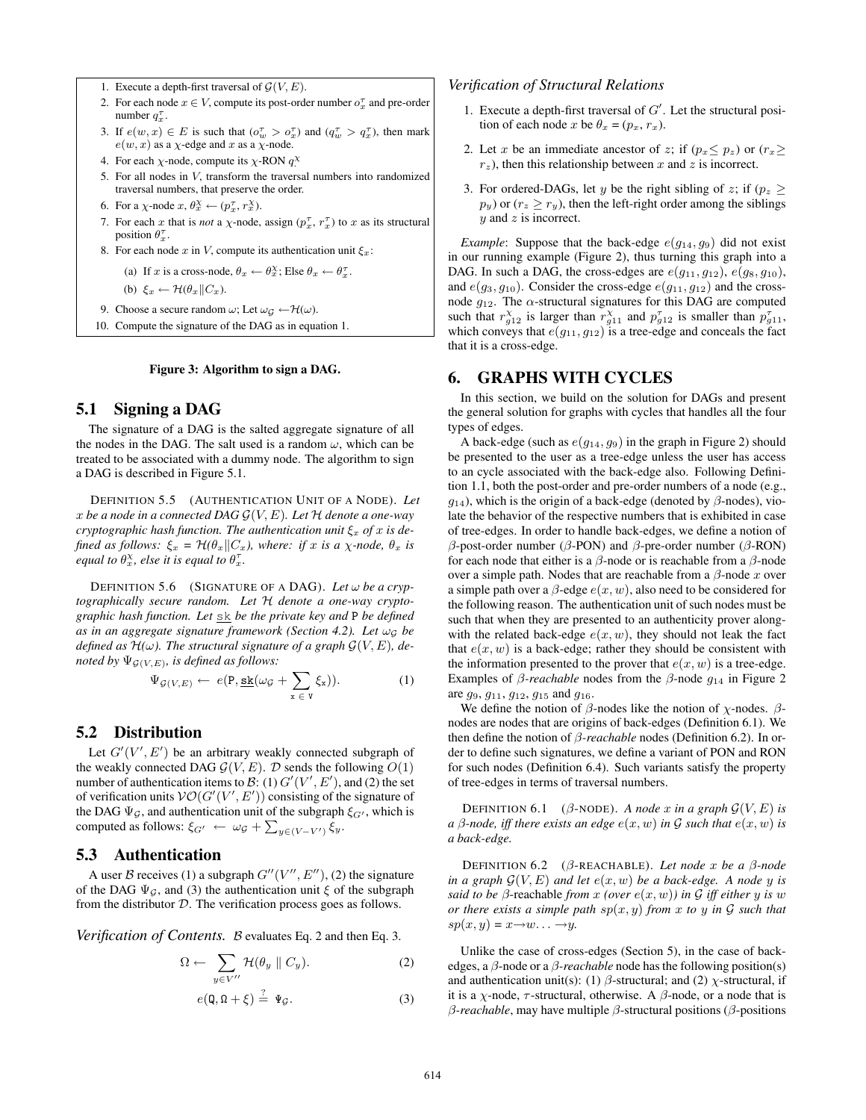1. Execute a depth-first traversal of  $G(V, E)$ .

- 2. For each node  $x \in V$ , compute its post-order number  $o_x^{\tau}$  and pre-order number  $q_x^{\tau}$ .
- 3. If  $e(w, x) \in E$  is such that  $(o_w^{\tau} > o_x^{\tau})$  and  $(q_w^{\tau} > q_x^{\tau})$ , then mark  $e(w, x)$  as a  $\chi$ -edge and x as a  $\chi$ -node.
- 4. For each  $\chi$ -node, compute its  $\chi$ -RON  $q^{\chi}$
- 5. For all nodes in V, transform the traversal numbers into randomized traversal numbers, that preserve the order.
- 6. For a  $\chi$ -node  $x, \theta_x^{\chi} \leftarrow (p_x^{\tau}, r_x^{\chi})$ .
- 7. For each x that is *not* a  $\chi$ -node, assign  $(p_x^{\tau}, r_x^{\tau})$  to x as its structural position  $\theta_x^{\tau}$ .
- 8. For each node x in V, compute its authentication unit  $\xi_x$ :

(a) If x is a cross-node,  $\theta_x \leftarrow \theta_x^{\chi}$ ; Else  $\theta_x \leftarrow \theta_x^{\tau}$ .

(b)  $\xi_x \leftarrow \mathcal{H}(\theta_x || C_x).$ 

- 9. Choose a secure random  $\omega$ ; Let  $\omega_G \leftarrow \mathcal{H}(\omega)$ .
- 10. Compute the signature of the DAG as in equation 1.

#### Figure 3: Algorithm to sign a DAG.

#### 5.1 Signing a DAG

The signature of a DAG is the salted aggregate signature of all the nodes in the DAG. The salt used is a random  $\omega$ , which can be treated to be associated with a dummy node. The algorithm to sign a DAG is described in Figure 5.1.

DEFINITION 5.5 (AUTHENTICATION UNIT OF A NODE). *Let* x *be a node in a connected DAG* G(V, E)*. Let* H *denote a one-way cryptographic hash function. The authentication unit*  $\xi_x$  *of* x *is defined as follows:*  $\xi_x = \mathcal{H}(\theta_x || C_x)$ , where: *if* x *is a*  $\chi$ -node,  $\theta_x$  *is equal to*  $\theta_x^{\chi}$ *, else it is equal to*  $\theta_x^{\tau}$ *.* 

**DEFINITION 5.6** (SIGNATURE OF A DAG). Let  $\omega$  be a cryp*tographically secure random. Let* H *denote a one-way cryptographic hash function. Let* sk *be the private key and* P *be defined as in an aggregate signature framework (Section 4.2). Let* ω<sup>G</sup> *be defined as*  $\mathcal{H}(\omega)$ . The structural signature of a graph  $\mathcal{G}(V, E)$ , de*noted by*  $\Psi_{\mathcal{G}(V,E)}$ *, is defined as follows:* 

$$
\Psi_{\mathcal{G}(V,E)} \leftarrow e(\mathbf{P}, \underline{\mathbf{sk}}(\omega_{\mathcal{G}} + \sum_{\mathbf{x} \in \mathbf{V}} \xi_{\mathbf{x}})). \tag{1}
$$

# 5.2 Distribution

Let  $G'(V', E')$  be an arbitrary weakly connected subgraph of the weakly connected DAG  $\mathcal{G}(V, E)$ .  $\mathcal{D}$  sends the following  $O(1)$ number of authentication items to B: (1)  $G'(V', E')$ , and (2) the set of verification units  $V\mathcal{O}(G'(V', E'))$  consisting of the signature of the DAG  $\Psi_{\mathcal{G}}$ , and authentication unit of the subgraph  $\xi_{G'}$ , which is computed as follows:  $\xi_{G'} \leftarrow \omega_{\mathcal{G}} + \sum_{y \in (V - V')} \xi_y$ .

## 5.3 Authentication

A user B receives (1) a subgraph  $G''(V'', E'')$ , (2) the signature of the DAG  $\Psi_{\mathcal{G}}$ , and (3) the authentication unit  $\xi$  of the subgraph from the distributor D. The verification process goes as follows.

*Verification of Contents.* B evaluates Eq. 2 and then Eq. 3.

$$
\Omega \leftarrow \sum_{y \in V''} \mathcal{H}(\theta_y \parallel C_y). \tag{2}
$$

$$
e(\mathbf{Q}, \mathbf{\Omega} + \xi) \stackrel{?}{=} \Psi_{\mathcal{G}}.
$$
 (3)

*Verification of Structural Relations*

- 1. Execute a depth-first traversal of  $G'$ . Let the structural position of each node x be  $\theta_x = (p_x, r_x)$ .
- 2. Let x be an immediate ancestor of z; if  $(p_x \leq p_z)$  or  $(r_x \geq$  $r<sub>z</sub>$ ), then this relationship between x and z is incorrect.
- 3. For ordered-DAGs, let y be the right sibling of z; if  $(p_z >$  $p_y$ ) or  $(r_z \ge r_y)$ , then the left-right order among the siblings  $y$  and  $z$  is incorrect.

*Example*: Suppose that the back-edge  $e(q_{14}, q_9)$  did not exist in our running example (Figure 2), thus turning this graph into a DAG. In such a DAG, the cross-edges are  $e(g_{11}, g_{12})$ ,  $e(g_8, g_{10})$ , and  $e(g_3, g_{10})$ . Consider the cross-edge  $e(g_{11}, g_{12})$  and the crossnode  $g_{12}$ . The  $\alpha$ -structural signatures for this DAG are computed such that  $r_{g12}^{\chi}$  is larger than  $r_{g11}^{\chi}$  and  $p_{g12}^{\tau}$  is smaller than  $p_{g11}^{\tau}$ , which conveys that  $e(g_{11}, g_{12})$  is a tree-edge and conceals the fact that it is a cross-edge.

#### 6. GRAPHS WITH CYCLES

In this section, we build on the solution for DAGs and present the general solution for graphs with cycles that handles all the four types of edges.

A back-edge (such as  $e(g_{14}, g_9)$  in the graph in Figure 2) should be presented to the user as a tree-edge unless the user has access to an cycle associated with the back-edge also. Following Definition 1.1, both the post-order and pre-order numbers of a node (e.g.,  $g_{14}$ ), which is the origin of a back-edge (denoted by  $\beta$ -nodes), violate the behavior of the respective numbers that is exhibited in case of tree-edges. In order to handle back-edges, we define a notion of β-post-order number (β-PON) and β-pre-order number (β-RON) for each node that either is a  $\beta$ -node or is reachable from a  $\beta$ -node over a simple path. Nodes that are reachable from a  $\beta$ -node x over a simple path over a  $\beta$ -edge  $e(x, w)$ , also need to be considered for the following reason. The authentication unit of such nodes must be such that when they are presented to an authenticity prover alongwith the related back-edge  $e(x, w)$ , they should not leak the fact that  $e(x, w)$  is a back-edge; rather they should be consistent with the information presented to the prover that  $e(x, w)$  is a tree-edge. Examples of  $\beta$ -reachable nodes from the  $\beta$ -node  $q_{14}$  in Figure 2 are  $g_9$ ,  $g_{11}$ ,  $g_{12}$ ,  $g_{15}$  and  $g_{16}$ .

We define the notion of  $\beta$ -nodes like the notion of  $\chi$ -nodes.  $\beta$ nodes are nodes that are origins of back-edges (Definition 6.1). We then define the notion of β*-reachable* nodes (Definition 6.2). In order to define such signatures, we define a variant of PON and RON for such nodes (Definition 6.4). Such variants satisfy the property of tree-edges in terms of traversal numbers.

DEFINITION 6.1 ( $\beta$ -NODE). *A node* x *in a graph*  $\mathcal{G}(V, E)$  *is a*  $\beta$ -node, iff there exists an edge  $e(x, w)$  in  $\mathcal G$  such that  $e(x, w)$  is *a back-edge.*

DEFINITION 6.2 (β-REACHABLE). *Let node* x *be a* β*-node in a graph*  $\mathcal{G}(V, E)$  *and let*  $e(x, w)$  *be a back-edge. A node* y *is said to be*  $\beta$ -reachable *from* x *(over*  $e(x, w)$ *)* in G iff either y is w *or there exists a simple path* sp(x, y) *from* x *to* y *in* G *such that*  $sp(x, y) = x \rightarrow w \dots \rightarrow y$ .

Unlike the case of cross-edges (Section 5), in the case of backedges, a β-node or a β*-reachable* node has the following position(s) and authentication unit(s): (1)  $\beta$ -structural; and (2)  $\chi$ -structural, if it is a  $\chi$ -node,  $\tau$ -structural, otherwise. A  $\beta$ -node, or a node that is β*-reachable*, may have multiple β-structural positions (β-positions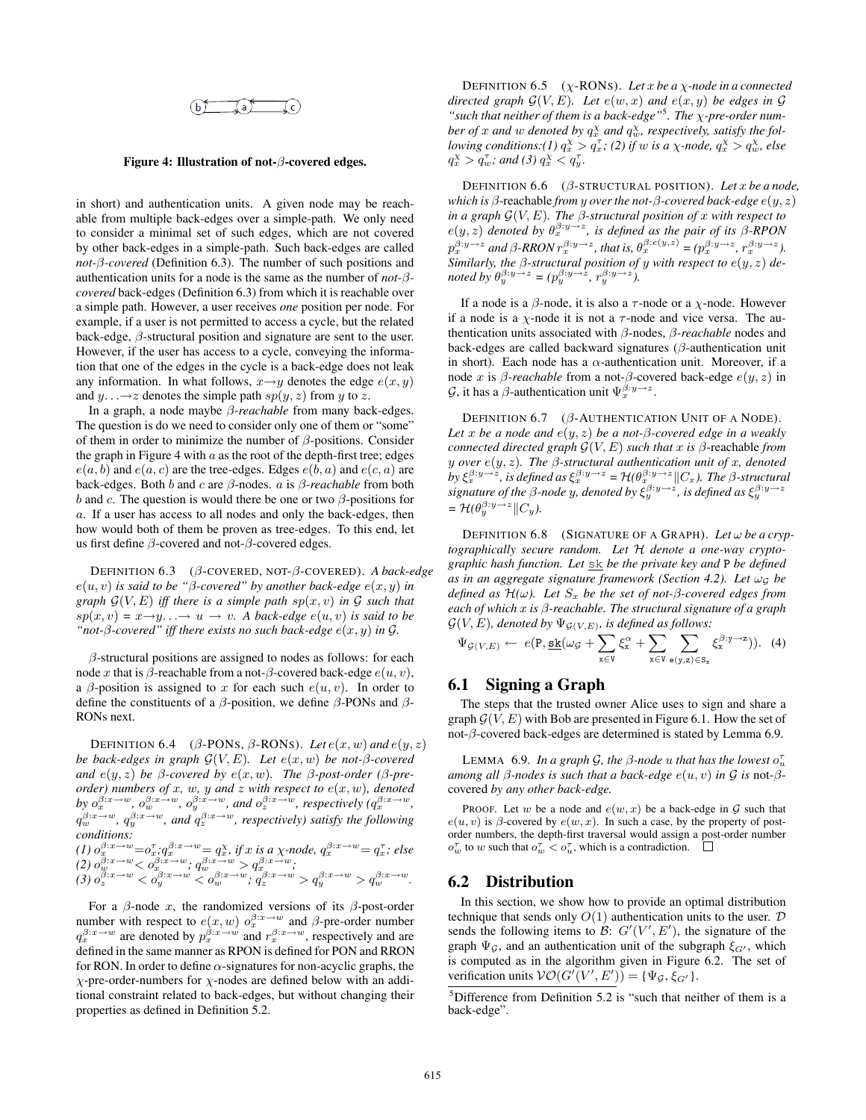$$
\underbrace{\qquad \qquad \text{b} \qquad \qquad } \qquad \qquad \text{c}
$$

#### Figure 4: Illustration of not- $\beta$ -covered edges.

in short) and authentication units. A given node may be reachable from multiple back-edges over a simple-path. We only need to consider a minimal set of such edges, which are not covered by other back-edges in a simple-path. Such back-edges are called *not-*β*-covered* (Definition 6.3). The number of such positions and authentication units for a node is the same as the number of *not-*β*covered* back-edges (Definition 6.3) from which it is reachable over a simple path. However, a user receives *one* position per node. For example, if a user is not permitted to access a cycle, but the related back-edge,  $\beta$ -structural position and signature are sent to the user. However, if the user has access to a cycle, conveying the information that one of the edges in the cycle is a back-edge does not leak any information. In what follows,  $x \rightarrow y$  denotes the edge  $e(x, y)$ and  $y \dots \rightarrow z$  denotes the simple path  $sp(y, z)$  from y to z.

In a graph, a node maybe β*-reachable* from many back-edges. The question is do we need to consider only one of them or "some" of them in order to minimize the number of  $\beta$ -positions. Consider the graph in Figure 4 with  $a$  as the root of the depth-first tree; edges  $e(a, b)$  and  $e(a, c)$  are the tree-edges. Edges  $e(b, a)$  and  $e(c, a)$  are back-edges. Both b and c are β-nodes. a is β*-reachable* from both b and c. The question is would there be one or two  $\beta$ -positions for a. If a user has access to all nodes and only the back-edges, then how would both of them be proven as tree-edges. To this end, let us first define  $\beta$ -covered and not- $\beta$ -covered edges.

DEFINITION 6.3 (β-COVERED, NOT-β-COVERED). *A back-edge*  $e(u, v)$  *is said to be "β-covered" by another back-edge*  $e(x, y)$  *in graph*  $G(V, E)$  *iff there is a simple path sp(x, v) in*  $G$  *such that*  $sp(x, v) = x \rightarrow y \rightarrow u \rightarrow v$ . A back-edge  $e(u, v)$  is said to be *"not-β-covered" iff there exists no such back-edge*  $e(x, y)$  *in G.* 

 $\beta$ -structural positions are assigned to nodes as follows: for each node x that is  $\beta$ -reachable from a not- $\beta$ -covered back-edge  $e(u, v)$ , a  $\beta$ -position is assigned to x for each such  $e(u, v)$ . In order to define the constituents of a  $\beta$ -position, we define  $\beta$ -PONs and  $\beta$ -RONs next.

DEFINITION 6.4 ( $\beta$ -PONS,  $\beta$ -RONS). Let  $e(x, w)$  and  $e(y, z)$ *be back-edges in graph* G(V, E)*. Let* e(x, w) *be not-*β*-covered and*  $e(y, z)$  *be*  $\beta$ -covered by  $e(x, w)$ *. The*  $\beta$ -post-order ( $\beta$ -pre*order) numbers of* x*,* w*,* y *and* z *with respect to* e(x, w)*, denoted by*  $o_x^{\beta:x\to w}$ ,  $o_w^{\beta:x\to w}$ ,  $o_y^{\beta:x\to w}$ , and  $o_z^{\beta:x\to w}$ , respectively  $(q_x^{\beta:x\to w}$ ,  $q_w^{\beta:x\rightarrow w}$ ,  $q_y^{\beta:x\rightarrow w}$ , and  $q_z^{\beta:x\rightarrow w}$ , respectively) satisfy the following *conditions: (1)*  $o_x^{\beta:x\rightarrow w} = o_x^{\tau}; q_x^{\beta:x\rightarrow w} = q_x^{\chi}$ , if x is a  $\chi$ -node,  $q_x^{\beta:x\rightarrow w} = q_x^{\tau}$ ; else

$$
\begin{array}{l} (2) \ \theta_w^{\beta;x \to w} <\phi_x^{\beta:x \to w} \, ; \, q_w^{\beta:x \to w} > q_x^{\beta:x \to w} \, ; \\ (3) \ \theta_z^{\beta:x \to w} <\phi_y^{\beta:x \to w} <\phi_w^{\beta:x \to w} \, ; \, q_z^{\beta:x \to w} > q_y^{\beta:x \to w} > q_w^{\beta:x \to w} \, . \end{array}
$$

For a  $\beta$ -node x, the randomized versions of its  $\beta$ -post-order number with respect to  $e(x, w)$   $o_x^{\beta:x \to w}$  and  $\beta$ -pre-order number  $q_x^{\beta:x\rightarrow w}$  are denoted by  $p_x^{\beta:x\rightarrow w}$  and  $r_x^{\beta:x\rightarrow w}$ , respectively and are defined in the same manner as RPON is defined for PON and RRON for RON. In order to define  $\alpha$ -signatures for non-acyclic graphs, the  $\chi$ -pre-order-numbers for  $\chi$ -nodes are defined below with an additional constraint related to back-edges, but without changing their properties as defined in Definition 5.2.

DEFINITION 6.5 (χ-RONS). *Let* x *be a* χ*-node in a connected directed graph*  $G(V, E)$ *. Let*  $e(w, x)$  *and*  $e(x, y)$  *be edges in*  $G$ *"such that neither of them is a back-edge"*<sup>5</sup> *. The* χ*-pre-order num*ber of x and w denoted by  $q_x^{\chi}$  and  $q_w^{\chi}$ , respectively, satisfy the fol*lowing conditions:*(*l*)  $q_x^{\chi} > q_x^{\tau}$ ; (2) *if* w *is a*  $\chi$ -node,  $q_x^{\chi} > q_w^{\chi}$ , else  $q_x^{\chi} > q_w^{\tau}$ ; and (3)  $q_x^{\chi} < q_y^{\tau}$ .

DEFINITION 6.6 (β-STRUCTURAL POSITION). *Let* x *be a node, which is* β-reachable *from* y *over the not-*β*-covered back-edge* e(y, z) *in a graph*  $\mathcal{G}(V, E)$ *. The*  $\beta$ *-structural position of* x *with respect to*  $e(y, z)$  denoted by  $\theta_x^{\beta:y\rightarrow z}$ , is defined as the pair of its  $\beta$ -RPON  $p_x^{\beta:y\rightarrow z}$  and  $\beta$ -RRON  $r_x^{\beta:y\rightarrow z}$ , that is,  $\theta_x^{\beta:e(y,z)} = (p_x^{\beta:y\rightarrow z}, r_x^{\beta:y\rightarrow z})$ . *Similarly, the* β*-structural position of* y *with respect to* e(y, z) *denoted by*  $\theta_y^{\beta:y\rightarrow z} = (p_y^{\beta:y\rightarrow z}, r_y^{\beta:y\rightarrow z})$ .

If a node is a  $\beta$ -node, it is also a  $\tau$ -node or a  $\chi$ -node. However if a node is a  $\chi$ -node it is not a  $\tau$ -node and vice versa. The authentication units associated with β-nodes, β*-reachable* nodes and back-edges are called backward signatures (β-authentication unit in short). Each node has a  $\alpha$ -authentication unit. Moreover, if a node x is β-reachable from a not-β-covered back-edge  $e(y, z)$  in  $\mathcal{G}$ , it has a  $\beta$ -authentication unit  $\Psi_x^{\beta: y \to z}$ .

DEFINITION  $6.7$  ( $\beta$ -AUTHENTICATION UNIT OF A NODE). *Let* x *be a node and* e(y, z) *be a not-*β*-covered edge in a weakly connected directed graph*  $G(V, E)$  *such that* x *is*  $\beta$ -reachable *from* y *over* e(y, z)*. The* β*-structural authentication unit of* x*, denoted*  $\partial y \xi_x^{\beta y \to z}$ , is defined as  $\xi_x^{\beta:y \to z} = \mathcal{H}(\theta_x^{\beta:y \to z} || C_x)$ . The  $\beta$ -structural signature of the  $\beta$ -node y, denoted by  $\xi_{y}^{\beta:y\rightarrow z}$ , is defined as  $\xi_{y}^{\beta:y\rightarrow z}$  $= \mathcal{H}(\theta_y^{\beta:y\rightarrow z}||C_y).$ 

**DEFINITION 6.8** (SIGNATURE OF A GRAPH). Let  $\omega$  be a cryp*tographically secure random. Let* H *denote a one-way cryptographic hash function. Let* sk *be the private key and* P *be defined as in an aggregate signature framework (Section 4.2). Let*  $\omega_G$  *be defined as*  $\mathcal{H}(\omega)$ . Let  $S_x$  be the set of not- $\beta$ -covered edges from *each of which* x *is* β*-reachable. The structural signature of a graph*  $\mathcal{G}(V, E)$ *, denoted by*  $\Psi_{\mathcal{G}(V, E)}$ *, is defined as follows:* 

$$
\Psi_{\mathcal{G}(V,E)} \leftarrow e(\mathbf{P}, \mathbf{\underline{sk}}(\omega_{\mathcal{G}} + \sum_{x \in V} \xi_x^{\alpha} + \sum_{x \in V} \sum_{\mathbf{e}(y,z) \in S_x} \xi_x^{\beta \cdot y \to z})). \tag{4}
$$

#### 6.1 Signing a Graph

The steps that the trusted owner Alice uses to sign and share a graph  $\mathcal{G}(V, E)$  with Bob are presented in Figure 6.1. How the set of not- $\beta$ -covered back-edges are determined is stated by Lemma 6.9.

LEMMA 6.9. *In a graph G, the*  $\beta$ *-node u that has the lowest*  $\sigma_u^{\tau}$ *among all*  $\beta$ *-nodes is such that a back-edge*  $e(u, v)$  *in*  $\mathcal G$  *is* not- $\beta$ covered *by any other back-edge.*

PROOF. Let w be a node and  $e(w, x)$  be a back-edge in G such that  $e(u, v)$  is β-covered by  $e(w, x)$ . In such a case, by the property of postorder numbers, the depth-first traversal would assign a post-order number  $o_w^{\tau}$  to w such that  $o_w^{\tau} < o_u^{\tau}$ , which is a contradiction.

#### 6.2 Distribution

In this section, we show how to provide an optimal distribution technique that sends only  $O(1)$  authentication units to the user.  $D$ sends the following items to B:  $G'(V', E')$ , the signature of the graph  $\Psi_{\mathcal{G}}$ , and an authentication unit of the subgraph  $\xi_{G'}$ , which is computed as in the algorithm given in Figure 6.2. The set of verification units  $V\mathcal{O}(G'(V', E')) = \{\Psi_{\mathcal{G}}, \xi_{G'}\}.$ 

 $5$ Difference from Definition 5.2 is "such that neither of them is a back-edge".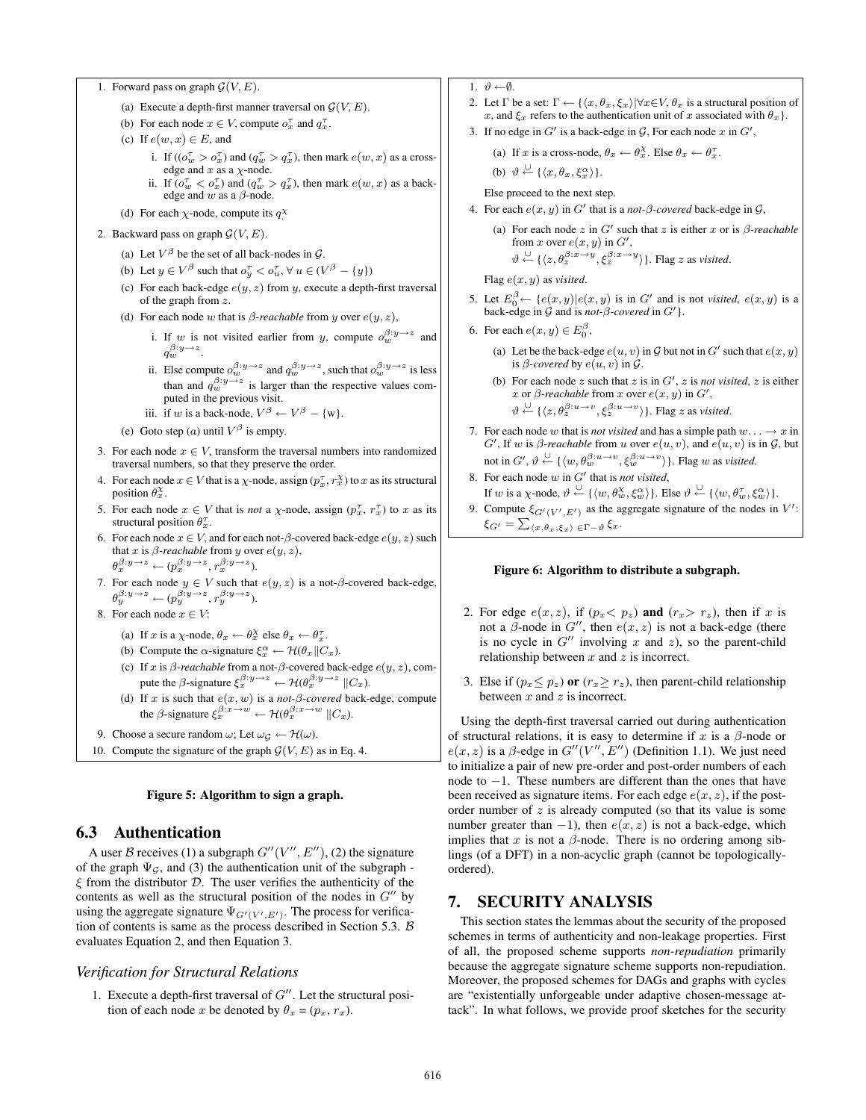```
1. Forward pass on graph G(V, E).
```
- (a) Execute a depth-first manner traversal on  $\mathcal{G}(V, E)$ .
- (b) For each node  $x \in V$ , compute  $o_x^{\tau}$  and  $q_x^{\tau}$ .
- (c) If  $e(w, x) \in E$ , and
	- i. If  $((o_w^{\tau} > o_x^{\tau})$  and  $(q_w^{\tau} > q_x^{\tau})$ , then mark  $e(w, x)$  as a crossedge and x as a  $\chi$ -node.
	- ii. If  $(o_w^{\tau} < o_x^{\tau})$  and  $(q_w^{\tau} > q_x^{\tau})$ , then mark  $e(w, x)$  as a backedge and  $w$  as a  $\beta$ -node.
- (d) For each  $\chi$ -node, compute its  $q^{\chi}$
- 2. Backward pass on graph  $\mathcal{G}(V, E)$ .
	- (a) Let  $V^{\beta}$  be the set of all back-nodes in  $\mathcal{G}$ .
	- (b) Let  $y \in V^{\beta}$  such that  $o_y^{\tau} < o_u^{\tau}$ ,  $\forall u \in (V^{\beta} \{y\})$
	- (c) For each back-edge  $e(y, z)$  from y, execute a depth-first traversal of the graph from z.
	- (d) For each node w that is  $\beta$ -reachable from y over  $e(y, z)$ ,
		- i. If w is not visited earlier from y, compute  $o_w^{\beta: y \to z}$  and  $q_w^{\beta:y\rightarrow z}$ .
		- ii. Else compute  $o_w^{\beta:y\to z}$  and  $q_w^{\beta:y\to z}$ , such that  $o_w^{\beta:y\to z}$  is less than and  $q_w^{\beta:y\rightarrow z}$  is larger than the respective values computed in the previous visit.
		- iii. if w is a back-node,  $V^{\beta} \leftarrow V^{\beta} \{w\}.$
	- (e) Goto step (a) until  $V^{\beta}$  is empty.
- 3. For each node  $x \in V$ , transform the traversal numbers into randomized traversal numbers, so that they preserve the order.
- 4. For each node  $x \in V$  that is a  $\chi$ -node, assign  $(p_x^{\tau}, r_x^{\chi})$  to x as its structural position  $\theta_x^{\chi}$ .
- 5. For each node  $x \in V$  that is *not* a  $\chi$ -node, assign  $(p_x^{\tau}, r_x^{\tau})$  to x as its structural position  $\theta_x^{\tau}$ .
- 6. For each node  $x \in V$ , and for each not- $\beta$ -covered back-edge  $e(y, z)$  such that x is  $\beta$ -reachable from y over  $e(y, z)$ ,  $\theta_x^{\beta:y\rightarrow z} \leftarrow (p_x^{\beta:y\rightarrow z}, r_x^{\beta:y\rightarrow z}).$
- 7. For each node  $y \in V$  such that  $e(y, z)$  is a not- $\beta$ -covered back-edge,  $\theta_y^{\beta:y\rightarrow z} \leftarrow (p_y^{\beta:y\rightarrow z}, r_y^{\beta:y\rightarrow z}).$
- 8. For each node  $x \in V$ :
	- (a) If x is a  $\chi$ -node,  $\theta_x \leftarrow \theta_x^{\chi}$  else  $\theta_x \leftarrow \theta_x^{\tau}$ .
	- (b) Compute the  $\alpha$ -signature  $\xi_x^{\alpha} \leftarrow \mathcal{H}(\theta_x || C_x)$ .
	- (c) If x is  $\beta$ -reachable from a not- $\beta$ -covered back-edge  $e(y, z)$ , compute the  $\beta$ -signature  $\xi_x^{\beta: y \to z} \leftarrow \mathcal{H}(\theta_x^{\beta: y \to z} \parallel C_x)$ .
	- (d) If x is such that  $e(x, w)$  is a *not-* $\beta$ *-covered* back-edge, compute the  $\beta$ -signature  $\xi_x^{\beta:x\to w} \leftarrow \mathcal{H}(\theta_x^{\beta:x\to w} \parallel C_x)$ .
- 9. Choose a secure random  $\omega$ ; Let  $\omega_G \leftarrow \mathcal{H}(\omega)$ .
- 10. Compute the signature of the graph  $G(V, E)$  as in Eq. 4.

#### Figure 5: Algorithm to sign a graph.

#### 6.3 Authentication

A user B receives (1) a subgraph  $G''(V'', E'')$ , (2) the signature of the graph  $\Psi_{\mathcal{G}}$ , and (3) the authentication unit of the subgraph - $\xi$  from the distributor  $D$ . The user verifies the authenticity of the contents as well as the structural position of the nodes in  $G''$  by using the aggregate signature  $\Psi_{G'(V',E')}$ . The process for verification of contents is same as the process described in Section 5.3. B evaluates Equation 2, and then Equation 3.

#### *Verification for Structural Relations*

1. Execute a depth-first traversal of  $G''$ . Let the structural position of each node x be denoted by  $\theta_x = (p_x, r_x)$ .

- 1.  $\vartheta \leftarrow \varnothing$ .
- 2. Let  $\Gamma$  be a set:  $\Gamma \leftarrow {\langle x, \theta_x, \xi_x \rangle | \forall x \in V, \theta_x \text{ is a structural position of } }$ x, and  $\xi_x$  refers to the authentication unit of x associated with  $\theta_x$ .
- 3. If no edge in  $G'$  is a back-edge in  $\mathcal G$ , For each node  $x$  in  $G'$ ,

(a) If x is a cross-node, 
$$
\theta_x \leftarrow \theta_x^{\chi}
$$
. Else  $\theta_x \leftarrow \theta_x^{\tau}$ .

(b)  $\vartheta \stackrel{\cup}{\leftarrow} {\{\langle x, \theta_x, \xi_x^{\alpha} \rangle\}}.$ 

Else proceed to the next step.

- 4. For each  $e(x, y)$  in G' that is a *not-* $\beta$ *-covered* back-edge in G,
	- (a) For each node  $z$  in  $G'$  such that  $z$  is either  $x$  or is  $\beta$ -reachable from x over  $e(x, y)$  in  $G'$ ,  $\vartheta \stackrel{\cup}{\leftarrow} {\{\langle z, \theta_z^{\beta:x \rightarrow y}, \xi_z^{\beta:x \rightarrow y} \rangle\}}$ . Flag z as *visited*.

Flag  $e(x, y)$  as *visited*.

- 5. Let  $E_0^{\beta} \leftarrow \{e(x, y) | e(x, y)$  is in G' and is not *visited*,  $e(x, y)$  is a back-edge in  $\hat{G}$  and is *not-* $\hat{\beta}$ *-covered* in  $G'$ .
- 6. For each  $e(x, y) \in E_0^{\beta}$ ,
	- (a) Let be the back-edge  $e(u, v)$  in  $G$  but not in  $G'$  such that  $e(x, y)$ is  $\beta$ -covered by  $e(u, v)$  in  $\mathcal G$ .
	- (b) For each node  $z$  such that  $z$  is in  $G'$ ,  $z$  is *not visited*,  $z$  is either x or  $\beta$ -reachable from x over  $e(x, y)$  in  $G'$ ,  $\vartheta \stackrel{\cup}{\leftarrow} {\{\langle z, \theta_z^{\beta: u \rightarrow v}, \xi_z^{\beta: u \rightarrow v} \rangle\}}$ . Flag z as *visited*.
- 7. For each node w that is *not visited* and has a simple path  $w \dots \rightarrow x$  in  $G'$ , If w is  $\beta$ -reachable from u over  $e(u, v)$ , and  $e(u, v)$  is in  $\mathcal{G}$ , but not in  $G', \vartheta \stackrel{\cup}{\leftarrow} \{\langle w, \theta_w^{\beta: u \to v}, \xi_w^{\beta: u \to v} \rangle\}$ . Flag w as *visited*.
- 8. For each node  $w$  in  $G'$  that is *not visited*, If w is a  $\chi$ -node,  $\vartheta \stackrel{\cup}{\leftarrow} {\{\langle w, \theta_w^{\chi}, \xi_w^{\alpha} \rangle\}}$ . Else  $\vartheta \stackrel{\cup}{\leftarrow} {\{\langle w, \theta_w^{\tau}, \xi_w^{\alpha} \rangle\}}$ .
- 9. Compute  $\xi_{G'(V', E')}$  as the aggregate signature of the nodes in  $V'$ :  $\xi_{G'} = \sum_{\langle x, \theta_x, \xi_x \rangle} \epsilon_{\Gamma - \vartheta} \, \xi_x.$

#### Figure 6: Algorithm to distribute a subgraph.

- 2. For edge  $e(x, z)$ , if  $(p_x \lt p_z)$  and  $(r_x > r_z)$ , then if x is not a  $\beta$ -node in  $G''$ , then  $e(x, z)$  is not a back-edge (there is no cycle in  $G''$  involving x and z), so the parent-child relationship between  $x$  and  $z$  is incorrect.
- 3. Else if  $(p_x \leq p_z)$  or  $(r_x \geq r_z)$ , then parent-child relationship between  $x$  and  $z$  is incorrect.

Using the depth-first traversal carried out during authentication of structural relations, it is easy to determine if x is a  $\beta$ -node or  $e(x, z)$  is a  $\beta$ -edge in  $G''(V'', E'')$  (Definition 1.1). We just need to initialize a pair of new pre-order and post-order numbers of each node to −1. These numbers are different than the ones that have been received as signature items. For each edge  $e(x, z)$ , if the postorder number of  $z$  is already computed (so that its value is some number greater than  $-1$ ), then  $e(x, z)$  is not a back-edge, which implies that x is not a  $\beta$ -node. There is no ordering among siblings (of a DFT) in a non-acyclic graph (cannot be topologicallyordered).

# 7. SECURITY ANALYSIS

This section states the lemmas about the security of the proposed schemes in terms of authenticity and non-leakage properties. First of all, the proposed scheme supports *non-repudiation* primarily because the aggregate signature scheme supports non-repudiation. Moreover, the proposed schemes for DAGs and graphs with cycles are "existentially unforgeable under adaptive chosen-message attack". In what follows, we provide proof sketches for the security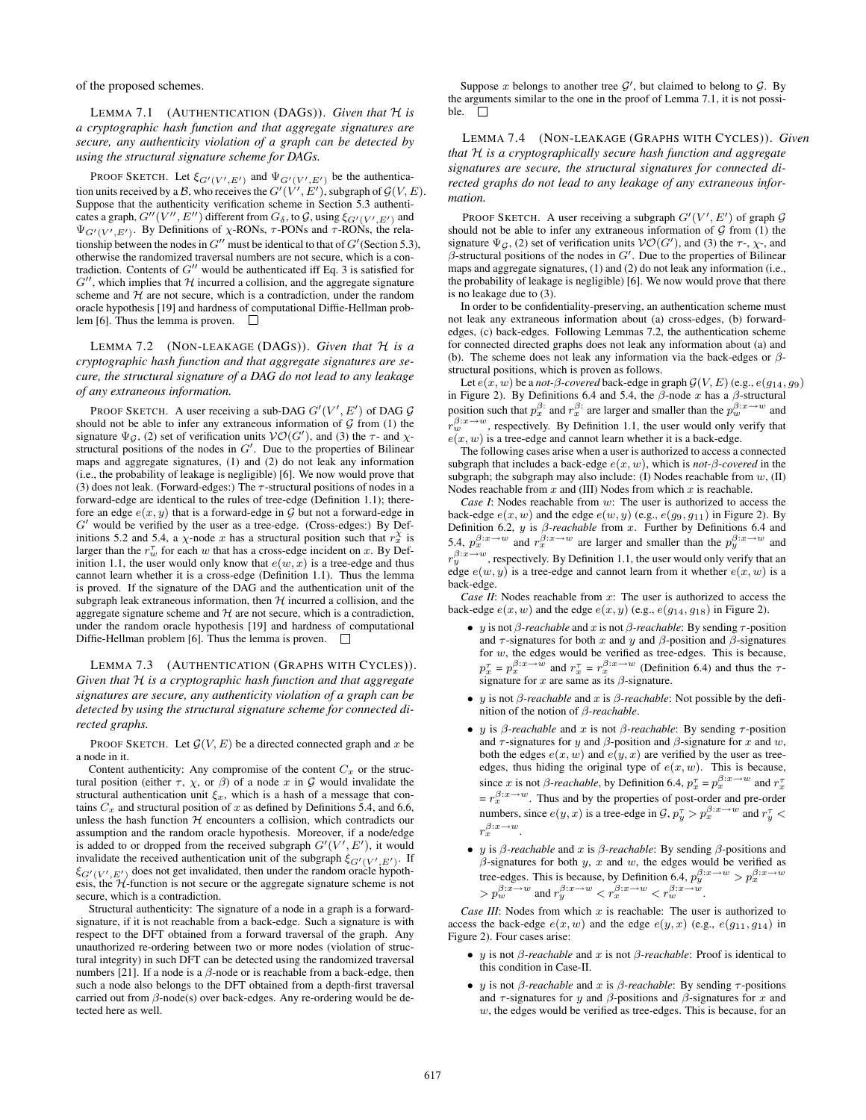of the proposed schemes.

LEMMA 7.1 (AUTHENTICATION (DAGS)). *Given that* H *is a cryptographic hash function and that aggregate signatures are secure, any authenticity violation of a graph can be detected by using the structural signature scheme for DAGs.*

PROOF SKETCH. Let  $\xi_{G'(V',E')}$  and  $\Psi_{G'(V',E')}$  be the authentication units received by a B, who receives the  $G'(V', E')$ , subgraph of  $\mathcal{G}(V, E)$ . Suppose that the authenticity verification scheme in Section 5.3 authenticates a graph,  $G''(V'', E'')$  different from  $G_{\delta}$ , to  $\mathcal{G}$ , using  $\xi_{G'(V', E')}$  and  $\Psi_{G'(V', E')}$ . By Definitions of  $\chi$ -RONs,  $\tau$ -PONs and  $\tau$ -RONs, the relationship between the nodes in  $G''$  must be identical to that of  $G'$  (Section 5.3), otherwise the randomized traversal numbers are not secure, which is a contradiction. Contents of  $G^{\prime\prime}$  would be authenticated iff Eq. 3 is satisfied for  $G''$ , which implies that  $H$  incurred a collision, and the aggregate signature scheme and  $H$  are not secure, which is a contradiction, under the random oracle hypothesis [19] and hardness of computational Diffie-Hellman problem [6]. Thus the lemma is proven.  $\Box$ 

LEMMA 7.2 (NON-LEAKAGE (DAGS)). *Given that* H *is a cryptographic hash function and that aggregate signatures are secure, the structural signature of a DAG do not lead to any leakage of any extraneous information.*

PROOF SKETCH. A user receiving a sub-DAG  $G'(V', E')$  of DAG  $\mathcal G$ should not be able to infer any extraneous information of  $\mathcal G$  from (1) the signature  $\Psi_{\mathcal{G}}$ , (2) set of verification units  $\mathcal{VO}(G')$ , and (3) the  $\tau$ - and  $\chi$ structural positions of the nodes in  $G'$ . Due to the properties of Bilinear maps and aggregate signatures, (1) and (2) do not leak any information (i.e., the probability of leakage is negligible) [6]. We now would prove that (3) does not leak. (Forward-edges:) The  $\tau$ -structural positions of nodes in a forward-edge are identical to the rules of tree-edge (Definition 1.1); therefore an edge  $e(x, y)$  that is a forward-edge in G but not a forward-edge in  $G'$  would be verified by the user as a tree-edge. (Cross-edges:) By Definitions 5.2 and 5.4, a  $\chi$ -node x has a structural position such that  $r_x^{\chi}$  is larger than the  $r_w^{\tau}$  for each w that has a cross-edge incident on x. By Definition 1.1, the user would only know that  $e(w, x)$  is a tree-edge and thus cannot learn whether it is a cross-edge (Definition 1.1). Thus the lemma is proved. If the signature of the DAG and the authentication unit of the subgraph leak extraneous information, then  $H$  incurred a collision, and the aggregate signature scheme and  $H$  are not secure, which is a contradiction, under the random oracle hypothesis [19] and hardness of computational Diffie-Hellman problem [6]. Thus the lemma is proven.  $\Box$ 

LEMMA 7.3 (AUTHENTICATION (GRAPHS WITH CYCLES)). *Given that* H *is a cryptographic hash function and that aggregate signatures are secure, any authenticity violation of a graph can be detected by using the structural signature scheme for connected directed graphs.*

PROOF SKETCH. Let  $\mathcal{G}(V, E)$  be a directed connected graph and x be a node in it.

Content authenticity: Any compromise of the content  $C_x$  or the structural position (either  $\tau$ ,  $\chi$ , or  $\beta$ ) of a node x in G would invalidate the structural authentication unit  $\xi_x$ , which is a hash of a message that contains  $C_x$  and structural position of x as defined by Definitions 5.4, and 6.6, unless the hash function  $H$  encounters a collision, which contradicts our assumption and the random oracle hypothesis. Moreover, if a node/edge is added to or dropped from the received subgraph  $G'(V', E')$ , it would invalidate the received authentication unit of the subgraph  $\xi_{G'(V',E')}$ . If  $\xi_{G'(V',E')}$  does not get invalidated, then under the random oracle hypothesis, the  $H$ -function is not secure or the aggregate signature scheme is not secure, which is a contradiction.

Structural authenticity: The signature of a node in a graph is a forwardsignature, if it is not reachable from a back-edge. Such a signature is with respect to the DFT obtained from a forward traversal of the graph. Any unauthorized re-ordering between two or more nodes (violation of structural integrity) in such DFT can be detected using the randomized traversal numbers [21]. If a node is a  $\beta$ -node or is reachable from a back-edge, then such a node also belongs to the DFT obtained from a depth-first traversal carried out from β-node(s) over back-edges. Any re-ordering would be detected here as well.

Suppose x belongs to another tree  $\mathcal{G}'$ , but claimed to belong to  $\mathcal{G}$ . By the arguments similar to the one in the proof of Lemma 7.1, it is not possible.  $\square$ 

LEMMA 7.4 (NON-LEAKAGE (GRAPHS WITH CYCLES)). *Given that* H *is a cryptographically secure hash function and aggregate signatures are secure, the structural signatures for connected directed graphs do not lead to any leakage of any extraneous information.*

PROOF SKETCH. A user receiving a subgraph  $G'(V', E')$  of graph  $\mathcal G$ should not be able to infer any extraneous information of  $G$  from (1) the signature  $\Psi_{\mathcal{G}}$ , (2) set of verification units  $\mathcal{VO}(G')$ , and (3) the  $\tau$ -,  $\chi$ -, and  $\beta$ -structural positions of the nodes in  $G'$ . Due to the properties of Bilinear maps and aggregate signatures, (1) and (2) do not leak any information (i.e., the probability of leakage is negligible) [6]. We now would prove that there is no leakage due to (3).

In order to be confidentiality-preserving, an authentication scheme must not leak any extraneous information about (a) cross-edges, (b) forwardedges, (c) back-edges. Following Lemmas 7.2, the authentication scheme for connected directed graphs does not leak any information about (a) and (b). The scheme does not leak any information via the back-edges or  $\beta$ structural positions, which is proven as follows.

Let  $e(x, w)$  be a *not-* $\beta$ *-covered* back-edge in graph  $\mathcal{G}(V, E)$  (e.g.,  $e(g_{14}, g_9)$ ) in Figure 2). By Definitions 6.4 and 5.4, the  $\beta$ -node x has a  $\beta$ -structural position such that  $p_x^{\beta}$ : and  $r_x^{\beta}$ : are larger and smaller than the  $p_w^{\beta:x\rightarrow w}$  and  $r_w^{\beta:x\rightarrow w}$ , respectively. By Definition 1.1, the user would only verify that  $e(x, w)$  is a tree-edge and cannot learn whether it is a back-edge.

The following cases arise when a user is authorized to access a connected subgraph that includes a back-edge  $e(x, w)$ , which is *not-* $\beta$ *-covered* in the subgraph; the subgraph may also include: (I) Nodes reachable from  $w$ , (II) Nodes reachable from  $x$  and (III) Nodes from which  $x$  is reachable.

*Case I*: Nodes reachable from w: The user is authorized to access the back-edge  $e(x, w)$  and the edge  $e(w, y)$  (e.g.,  $e(g_9, g_{11})$  in Figure 2). By Definition 6.2, y is β*-reachable* from x. Further by Definitions 6.4 and 5.4,  $p_x^{\beta:x\rightarrow w}$  and  $r_x^{\beta:x\rightarrow w}$  are larger and smaller than the  $p_y^{\beta:x\rightarrow w}$  and  $r_y^{\beta:x\rightarrow w}$ , respectively. By Definition 1.1, the user would only verify that an edge  $e(w, y)$  is a tree-edge and cannot learn from it whether  $e(x, w)$  is a back-edge.

*Case II*: Nodes reachable from x: The user is authorized to access the back-edge  $e(x, w)$  and the edge  $e(x, y)$  (e.g.,  $e(g_{14}, g_{18})$ ) in Figure 2).

- y is not β*-reachable* and x is not β*-reachable*: By sending τ-position and  $\tau$ -signatures for both x and y and  $\beta$ -position and  $\beta$ -signatures for w, the edges would be verified as tree-edges. This is because,  $p_x^{\tau} = p_x^{\beta:\pi \to w}$  and  $r_x^{\tau} = r_x^{\beta:\pi \to w}$  (Definition 6.4) and thus the  $\tau$ signature for  $x$  are same as its  $\beta$ -signature.
- y is not β*-reachable* and x is β*-reachable*: Not possible by the definition of the notion of β*-reachable*.
- y is β*-reachable* and x is not β*-reachable*: By sending τ-position and  $\tau$ -signatures for y and  $\beta$ -position and  $\beta$ -signature for x and w, both the edges  $e(x, w)$  and  $e(y, x)$  are verified by the user as treeedges, thus hiding the original type of  $e(x, w)$ . This is because, since x is not  $\beta$ -reachable, by Definition 6.4,  $p_x^{\tau} = p_x^{\beta: x \to w}$  and  $r_x^{\tau}$ since x is not *p*-reachable, by Deminion 0.4,  $p_x = p_x$  and  $r_x = r_x^{\beta:x \rightarrow w}$ . Thus and by the properties of post-order and pre-order numbers, since  $e(y, x)$  is a tree-edge in  $\mathcal{G}, p_y^{\tau} > p_x^{\beta : x \to w}$  and  $r_y^{\tau} <$  $r_x^{\beta:x\rightarrow w}$ .
- *y* is *β*-reachable and *x* is *β*-reachable: By sending *β*-positions and  $\beta$ -signatures for both y, x and w, the edges would be verified as tree-edges. This is because, by Definition 6.4,  $p_y^{\beta:x \to w} > p_x^{\beta:x \to w}$ <br>  $> p_w^{\beta:x \to w}$  and  $r_y^{\beta:x \to w} < r_x^{\beta:x \to w} < r_w^{\beta:x \to w}$ .

*Case III*: Nodes from which  $x$  is reachable: The user is authorized to access the back-edge  $e(x, w)$  and the edge  $e(y, x)$  (e.g.,  $e(g_{11}, g_{14})$  in Figure 2). Four cases arise:

- y is not β*-reachable* and x is not β*-reachable*: Proof is identical to this condition in Case-II.
- *y* is not *β*-reachable and x is *β*-reachable: By sending  $\tau$ -positions and  $\tau$ -signatures for y and  $\beta$ -positions and  $\beta$ -signatures for x and  $w$ , the edges would be verified as tree-edges. This is because, for an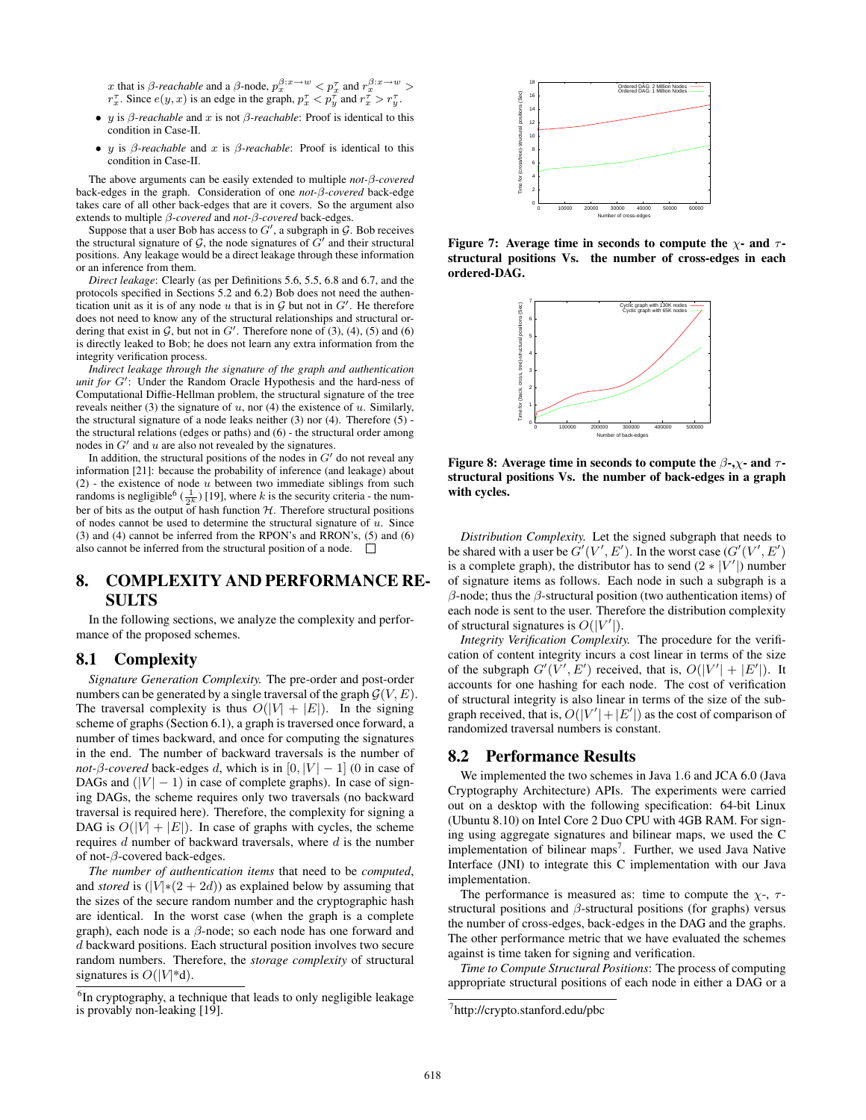x that is  $\beta$ -reachable and a  $\beta$ -node,  $p_x^{\beta:x\to w} < p_x^{\tau}$  and  $r_x^{\beta:x\to w} >$  $r_x^{\tau}$ . Since  $e(y, x)$  is an edge in the graph,  $p_x^{\tau} < p_y^{\tau}$  and  $r_x^{\tau} > r_y^{\tau}$ .

- y is  $\beta$ -reachable and x is not  $\beta$ -reachable: Proof is identical to this condition in Case-II.
- y is β*-reachable* and x is β*-reachable*: Proof is identical to this condition in Case-II.

The above arguments can be easily extended to multiple *not-*β*-covered* back-edges in the graph. Consideration of one *not-*β*-covered* back-edge takes care of all other back-edges that are it covers. So the argument also extends to multiple β*-covered* and *not-*β*-covered* back-edges.

Suppose that a user Bob has access to  $G'$ , a subgraph in  $\mathcal G$ . Bob receives the structural signature of  $G$ , the node signatures of  $G'$  and their structural positions. Any leakage would be a direct leakage through these information or an inference from them.

*Direct leakage*: Clearly (as per Definitions 5.6, 5.5, 6.8 and 6.7, and the protocols specified in Sections 5.2 and 6.2) Bob does not need the authentication unit as it is of any node u that is in  $G$  but not in  $G'$ . He therefore does not need to know any of the structural relationships and structural ordering that exist in  $G$ , but not in  $G'$ . Therefore none of (3), (4), (5) and (6) is directly leaked to Bob; he does not learn any extra information from the integrity verification process.

*Indirect leakage through the signature of the graph and authentication unit for*  $G'$ : Under the Random Oracle Hypothesis and the hard-ness of Computational Diffie-Hellman problem, the structural signature of the tree reveals neither (3) the signature of  $u$ , nor (4) the existence of  $u$ . Similarly, the structural signature of a node leaks neither (3) nor (4). Therefore (5) the structural relations (edges or paths) and (6) - the structural order among nodes in  $G'$  and  $u$  are also not revealed by the signatures.

In addition, the structural positions of the nodes in  $G'$  do not reveal any information [21]: because the probability of inference (and leakage) about  $(2)$  - the existence of node u between two immediate siblings from such randoms is negligible<sup>6</sup> ( $\frac{1}{2^k}$ ) [19], where k is the security criteria - the number of bits as the output of hash function  $H$ . Therefore structural positions of nodes cannot be used to determine the structural signature of  $u$ . Since (3) and (4) cannot be inferred from the RPON's and RRON's, (5) and (6) also cannot be inferred from the structural position of a node.  $\Box$ 

# 8. COMPLEXITY AND PERFORMANCE RE-SULTS

In the following sections, we analyze the complexity and performance of the proposed schemes.

#### 8.1 Complexity

*Signature Generation Complexity.* The pre-order and post-order numbers can be generated by a single traversal of the graph  $G(V, E)$ . The traversal complexity is thus  $O(|V| + |E|)$ . In the signing scheme of graphs (Section 6.1), a graph is traversed once forward, a number of times backward, and once for computing the signatures in the end. The number of backward traversals is the number of *not-β-covered* back-edges d, which is in  $[0, |V| - 1]$  (0 in case of DAGs and  $(|V| - 1)$  in case of complete graphs). In case of signing DAGs, the scheme requires only two traversals (no backward traversal is required here). Therefore, the complexity for signing a DAG is  $O(|V| + |E|)$ . In case of graphs with cycles, the scheme requires  $d$  number of backward traversals, where  $d$  is the number of not- $\beta$ -covered back-edges.

*The number of authentication items* that need to be *computed*, and *stored* is  $(|V|*(2+2d))$  as explained below by assuming that the sizes of the secure random number and the cryptographic hash are identical. In the worst case (when the graph is a complete graph), each node is a  $\beta$ -node; so each node has one forward and d backward positions. Each structural position involves two secure random numbers. Therefore, the *storage complexity* of structural signatures is  $O(|V^*d)$ .



Figure 7: Average time in seconds to compute the  $\chi$ - and  $\tau$ structural positions Vs. the number of cross-edges in each ordered-DAG.



Figure 8: Average time in seconds to compute the  $\beta$ -, $\gamma$ - and  $\tau$ structural positions Vs. the number of back-edges in a graph with cycles.

*Distribution Complexity.* Let the signed subgraph that needs to be shared with a user be  $G'(V', E')$ . In the worst case  $(G'(V', E'))$ is a complete graph), the distributor has to send  $(2 * |V'|)$  number of signature items as follows. Each node in such a subgraph is a  $β$ -node; thus the  $β$ -structural position (two authentication items) of each node is sent to the user. Therefore the distribution complexity of structural signatures is  $O(|V'|)$ .

*Integrity Verification Complexity.* The procedure for the verification of content integrity incurs a cost linear in terms of the size of the subgraph  $G'(V', E')$  received, that is,  $O(|V'| + |E'|)$ . It accounts for one hashing for each node. The cost of verification of structural integrity is also linear in terms of the size of the subgraph received, that is,  $O(|V'| + |E'|)$  as the cost of comparison of randomized traversal numbers is constant.

#### 8.2 Performance Results

We implemented the two schemes in Java 1.6 and JCA 6.0 (Java Cryptography Architecture) APIs. The experiments were carried out on a desktop with the following specification: 64-bit Linux (Ubuntu 8.10) on Intel Core 2 Duo CPU with 4GB RAM. For signing using aggregate signatures and bilinear maps, we used the C implementation of bilinear maps<sup>7</sup>. Further, we used Java Native Interface (JNI) to integrate this C implementation with our Java implementation.

The performance is measured as: time to compute the  $\chi$ -,  $\tau$ structural positions and  $\beta$ -structural positions (for graphs) versus the number of cross-edges, back-edges in the DAG and the graphs. The other performance metric that we have evaluated the schemes against is time taken for signing and verification.

*Time to Compute Structural Positions*: The process of computing appropriate structural positions of each node in either a DAG or a

<sup>&</sup>lt;sup>6</sup>In cryptography, a technique that leads to only negligible leakage is provably non-leaking [19].

<sup>7</sup> http://crypto.stanford.edu/pbc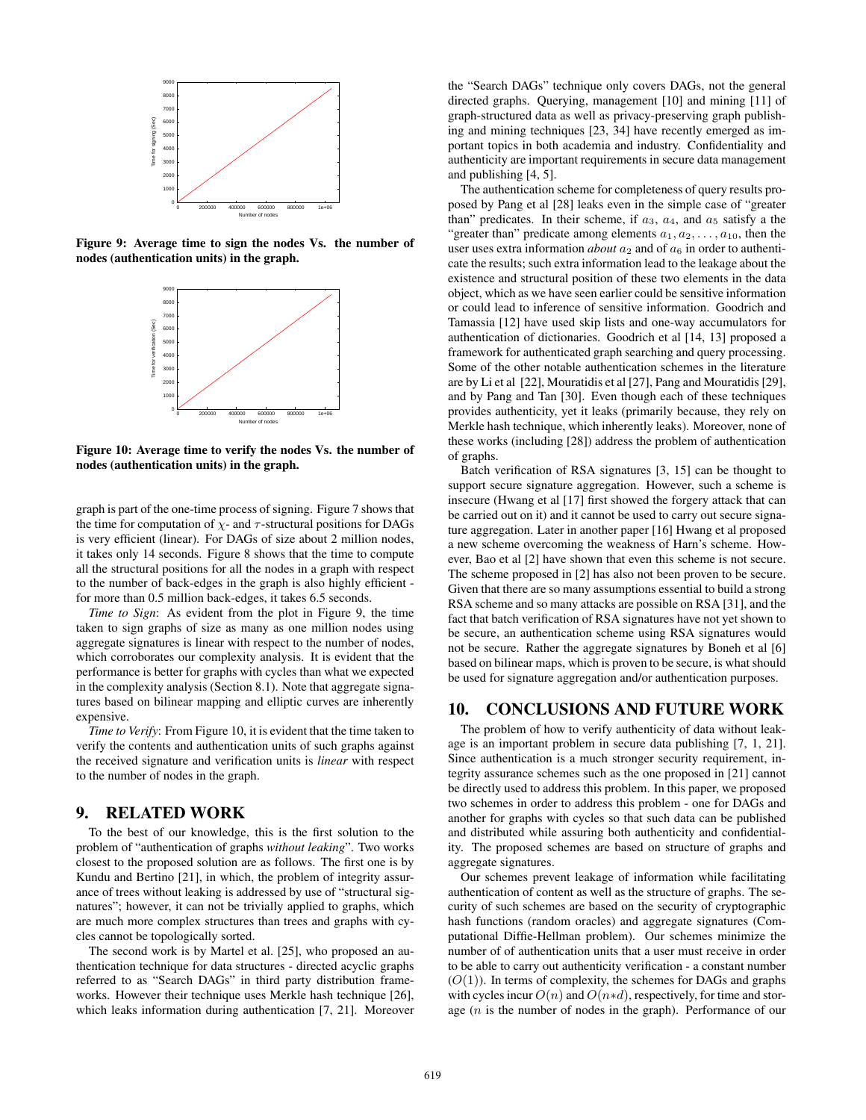

Figure 9: Average time to sign the nodes Vs. the number of nodes (authentication units) in the graph.



Figure 10: Average time to verify the nodes Vs. the number of nodes (authentication units) in the graph.

graph is part of the one-time process of signing. Figure 7 shows that the time for computation of  $\chi$ - and  $\tau$ -structural positions for DAGs is very efficient (linear). For DAGs of size about 2 million nodes, it takes only 14 seconds. Figure 8 shows that the time to compute all the structural positions for all the nodes in a graph with respect to the number of back-edges in the graph is also highly efficient for more than 0.5 million back-edges, it takes 6.5 seconds.

*Time to Sign*: As evident from the plot in Figure 9, the time taken to sign graphs of size as many as one million nodes using aggregate signatures is linear with respect to the number of nodes, which corroborates our complexity analysis. It is evident that the performance is better for graphs with cycles than what we expected in the complexity analysis (Section 8.1). Note that aggregate signatures based on bilinear mapping and elliptic curves are inherently expensive.

*Time to Verify*: From Figure 10, it is evident that the time taken to verify the contents and authentication units of such graphs against the received signature and verification units is *linear* with respect to the number of nodes in the graph.

## 9. RELATED WORK

To the best of our knowledge, this is the first solution to the problem of "authentication of graphs *without leaking*". Two works closest to the proposed solution are as follows. The first one is by Kundu and Bertino [21], in which, the problem of integrity assurance of trees without leaking is addressed by use of "structural signatures"; however, it can not be trivially applied to graphs, which are much more complex structures than trees and graphs with cycles cannot be topologically sorted.

The second work is by Martel et al. [25], who proposed an authentication technique for data structures - directed acyclic graphs referred to as "Search DAGs" in third party distribution frameworks. However their technique uses Merkle hash technique [26], which leaks information during authentication [7, 21]. Moreover the "Search DAGs" technique only covers DAGs, not the general directed graphs. Querying, management [10] and mining [11] of graph-structured data as well as privacy-preserving graph publishing and mining techniques [23, 34] have recently emerged as important topics in both academia and industry. Confidentiality and authenticity are important requirements in secure data management and publishing [4, 5].

The authentication scheme for completeness of query results proposed by Pang et al [28] leaks even in the simple case of "greater than" predicates. In their scheme, if  $a_3$ ,  $a_4$ , and  $a_5$  satisfy a the "greater than" predicate among elements  $a_1, a_2, \ldots, a_{10}$ , then the user uses extra information *about*  $a_2$  and of  $a_6$  in order to authenticate the results; such extra information lead to the leakage about the existence and structural position of these two elements in the data object, which as we have seen earlier could be sensitive information or could lead to inference of sensitive information. Goodrich and Tamassia [12] have used skip lists and one-way accumulators for authentication of dictionaries. Goodrich et al [14, 13] proposed a framework for authenticated graph searching and query processing. Some of the other notable authentication schemes in the literature are by Li et al [22], Mouratidis et al [27], Pang and Mouratidis [29], and by Pang and Tan [30]. Even though each of these techniques provides authenticity, yet it leaks (primarily because, they rely on Merkle hash technique, which inherently leaks). Moreover, none of these works (including [28]) address the problem of authentication of graphs.

Batch verification of RSA signatures [3, 15] can be thought to support secure signature aggregation. However, such a scheme is insecure (Hwang et al [17] first showed the forgery attack that can be carried out on it) and it cannot be used to carry out secure signature aggregation. Later in another paper [16] Hwang et al proposed a new scheme overcoming the weakness of Harn's scheme. However, Bao et al [2] have shown that even this scheme is not secure. The scheme proposed in [2] has also not been proven to be secure. Given that there are so many assumptions essential to build a strong RSA scheme and so many attacks are possible on RSA [31], and the fact that batch verification of RSA signatures have not yet shown to be secure, an authentication scheme using RSA signatures would not be secure. Rather the aggregate signatures by Boneh et al [6] based on bilinear maps, which is proven to be secure, is what should be used for signature aggregation and/or authentication purposes.

# 10. CONCLUSIONS AND FUTURE WORK

The problem of how to verify authenticity of data without leakage is an important problem in secure data publishing [7, 1, 21]. Since authentication is a much stronger security requirement, integrity assurance schemes such as the one proposed in [21] cannot be directly used to address this problem. In this paper, we proposed two schemes in order to address this problem - one for DAGs and another for graphs with cycles so that such data can be published and distributed while assuring both authenticity and confidentiality. The proposed schemes are based on structure of graphs and aggregate signatures.

Our schemes prevent leakage of information while facilitating authentication of content as well as the structure of graphs. The security of such schemes are based on the security of cryptographic hash functions (random oracles) and aggregate signatures (Computational Diffie-Hellman problem). Our schemes minimize the number of of authentication units that a user must receive in order to be able to carry out authenticity verification - a constant number  $(O(1))$ . In terms of complexity, the schemes for DAGs and graphs with cycles incur  $O(n)$  and  $O(n*d)$ , respectively, for time and storage (n is the number of nodes in the graph). Performance of our